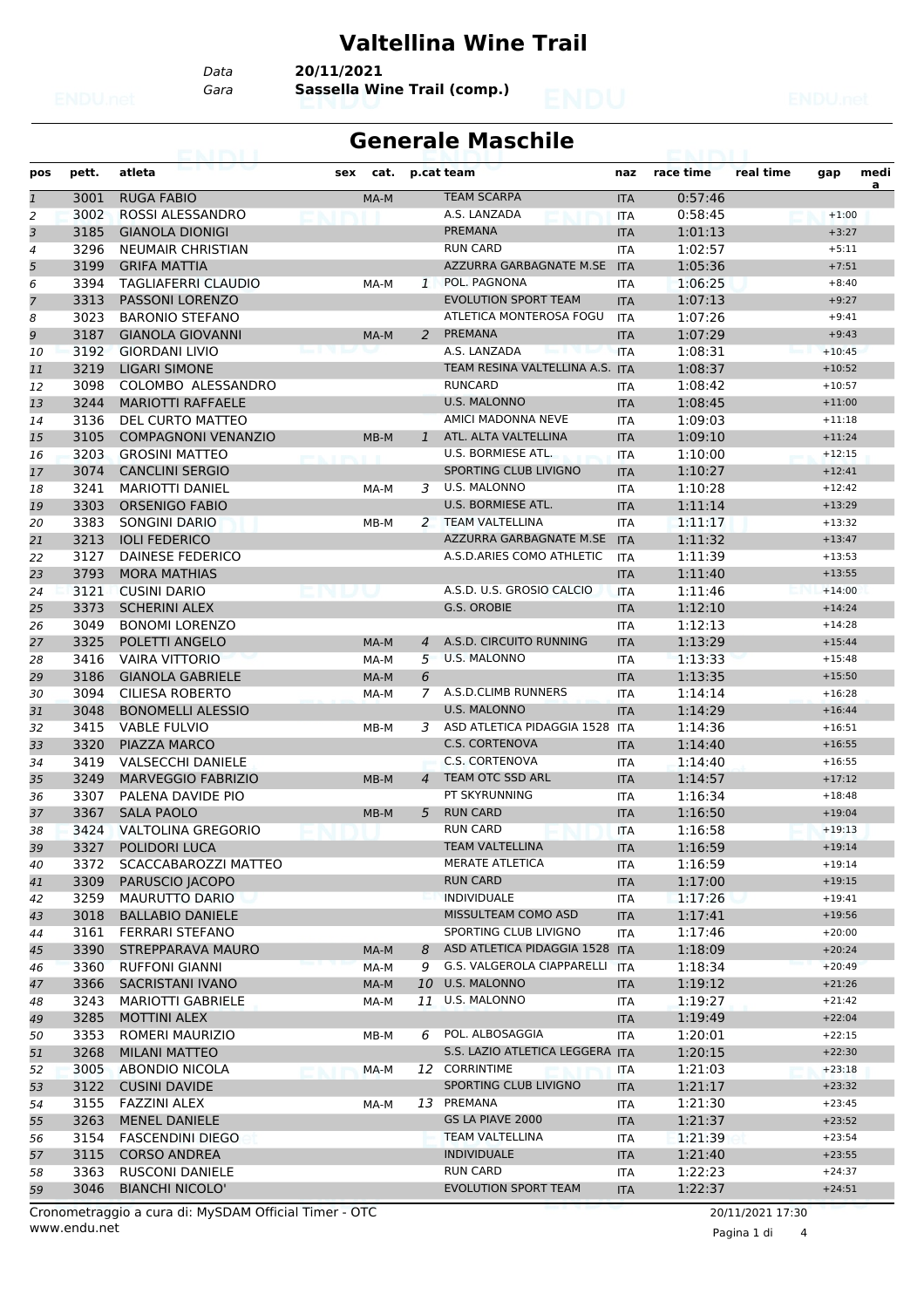### **Valtellina Wine Trail**

*Data* **20/11/2021**

*Gara* **Sassella Wine Trail (comp.)**

#### **Generale Maschile**

| pos          | pett. | atleta                     | cat.<br>sex |                | p.cat team                      | naz        | race time | real time | gap      | medi<br>a |
|--------------|-------|----------------------------|-------------|----------------|---------------------------------|------------|-----------|-----------|----------|-----------|
| $\mathbf{1}$ | 3001  | <b>RUGA FABIO</b>          | MA-M        |                | <b>TEAM SCARPA</b>              | <b>ITA</b> | 0:57:46   |           |          |           |
| 2            | 3002  | ROSSI ALESSANDRO           |             |                | A.S. LANZADA                    | <b>ITA</b> | 0:58:45   |           | $+1:00$  |           |
| 3            | 3185  | <b>GIANOLA DIONIGI</b>     |             |                | <b>PREMANA</b>                  | <b>ITA</b> | 1:01:13   |           | $+3:27$  |           |
| 4            | 3296  | <b>NEUMAIR CHRISTIAN</b>   |             |                | <b>RUN CARD</b>                 | <b>ITA</b> | 1:02:57   |           | $+5:11$  |           |
| 5            | 3199  | <b>GRIFA MATTIA</b>        |             |                | AZZURRA GARBAGNATE M.SE         | <b>ITA</b> | 1:05:36   |           | $+7:51$  |           |
| 6            | 3394  | <b>TAGLIAFERRI CLAUDIO</b> | MA-M        | $\mathbf{1}$   | POL. PAGNONA                    | <b>ITA</b> | 1:06:25   |           | $+8:40$  |           |
| 7            | 3313  | PASSONI LORENZO            |             |                | <b>EVOLUTION SPORT TEAM</b>     | <b>ITA</b> | 1:07:13   |           | $+9:27$  |           |
| 8            | 3023  | <b>BARONIO STEFANO</b>     |             |                | ATLETICA MONTEROSA FOGU         | <b>ITA</b> | 1:07:26   |           | $+9:41$  |           |
| 9            | 3187  | <b>GIANOLA GIOVANNI</b>    | MA-M        | 2              | PREMANA                         | <b>ITA</b> | 1:07:29   |           | $+9:43$  |           |
| 10           | 3192  | <b>GIORDANI LIVIO</b>      |             |                | A.S. LANZADA                    | <b>ITA</b> | 1:08:31   |           | $+10:45$ |           |
| 11           | 3219  | <b>LIGARI SIMONE</b>       |             |                | TEAM RESINA VALTELLINA A.S. ITA |            | 1:08:37   |           | $+10:52$ |           |
| 12           | 3098  | COLOMBO ALESSANDRO         |             |                | <b>RUNCARD</b>                  | <b>ITA</b> | 1:08:42   |           | $+10:57$ |           |
| 13           | 3244  | <b>MARIOTTI RAFFAELE</b>   |             |                | <b>U.S. MALONNO</b>             | <b>ITA</b> | 1:08:45   |           | $+11:00$ |           |
| 14           | 3136  | DEL CURTO MATTEO           |             |                | AMICI MADONNA NEVE              | <b>ITA</b> | 1:09:03   |           | $+11:18$ |           |
| 15           | 3105  | <b>COMPAGNONI VENANZIO</b> | MB-M        | 1              | ATL. ALTA VALTELLINA            | <b>ITA</b> | 1:09:10   |           | $+11:24$ |           |
| 16           | 3203  | <b>GROSINI MATTEO</b>      |             |                | U.S. BORMIESE ATL.              | <b>ITA</b> | 1:10:00   |           | $+12:15$ |           |
| 17           | 3074  | <b>CANCLINI SERGIO</b>     |             |                | SPORTING CLUB LIVIGNO           | <b>ITA</b> | 1:10:27   |           | $+12:41$ |           |
| 18           | 3241  | <b>MARIOTTI DANIEL</b>     | MA-M        | 3              | U.S. MALONNO                    | <b>ITA</b> | 1:10:28   |           | $+12:42$ |           |
| 19           | 3303  | <b>ORSENIGO FABIO</b>      |             |                | <b>U.S. BORMIESE ATL.</b>       | <b>ITA</b> | 1:11:14   |           | $+13:29$ |           |
| 20           | 3383  | <b>SONGINI DARIO</b>       | MB-M        |                | 2 TEAM VALTELLINA               | <b>ITA</b> | 1:11:17   |           | $+13:32$ |           |
| 21           | 3213  | <b>IOLI FEDERICO</b>       |             |                | AZZURRA GARBAGNATE M.SE         | <b>ITA</b> | 1:11:32   |           | $+13:47$ |           |
| 22           | 3127  | DAINESE FEDERICO           |             |                | A.S.D.ARIES COMO ATHLETIC       | <b>ITA</b> | 1:11:39   |           | $+13:53$ |           |
| 23           | 3793  | <b>MORA MATHIAS</b>        |             |                |                                 | <b>ITA</b> | 1:11:40   |           | $+13:55$ |           |
| 24           | 3121  | <b>CUSINI DARIO</b>        |             |                | A.S.D. U.S. GROSIO CALCIO       | <b>ITA</b> | 1:11:46   |           | $+14:00$ |           |
| 25           | 3373  | <b>SCHERINI ALEX</b>       |             |                | G.S. OROBIE                     | <b>ITA</b> | 1:12:10   |           | $+14:24$ |           |
| 26           | 3049  | <b>BONOMI LORENZO</b>      |             |                |                                 | <b>ITA</b> | 1:12:13   |           | $+14:28$ |           |
| 27           | 3325  | POLETTI ANGELO             | MA-M        | $\overline{4}$ | A.S.D. CIRCUITO RUNNING         | <b>ITA</b> | 1:13:29   |           | $+15:44$ |           |
| 28           | 3416  | VAIRA VITTORIO             | MA-M        | 5              | <b>U.S. MALONNO</b>             | <b>ITA</b> | 1:13:33   |           | $+15:48$ |           |
| 29           | 3186  | <b>GIANOLA GABRIELE</b>    | MA-M        | 6              |                                 | <b>ITA</b> | 1:13:35   |           | $+15:50$ |           |
| 30           | 3094  | <b>CILIESA ROBERTO</b>     | MA-M        | 7              | A.S.D.CLIMB RUNNERS             | <b>ITA</b> | 1:14:14   |           | $+16:28$ |           |
| 31           | 3048  | <b>BONOMELLI ALESSIO</b>   |             |                | <b>U.S. MALONNO</b>             | <b>ITA</b> | 1:14:29   |           | $+16:44$ |           |
| 32           | 3415  | <b>VABLE FULVIO</b>        | MB-M        | 3              | ASD ATLETICA PIDAGGIA 1528 ITA  |            | 1:14:36   |           | $+16:51$ |           |
| 33           | 3320  | PIAZZA MARCO               |             |                | <b>C.S. CORTENOVA</b>           | <b>ITA</b> | 1:14:40   |           | $+16:55$ |           |
| 34           | 3419  | <b>VALSECCHI DANIELE</b>   |             |                | C.S. CORTENOVA                  | <b>ITA</b> | 1:14:40   |           | $+16:55$ |           |
| 35           | 3249  | <b>MARVEGGIO FABRIZIO</b>  | MB-M        | $\overline{4}$ | TEAM OTC SSD ARL                | <b>ITA</b> | 1:14:57   |           | $+17:12$ |           |
| 36           | 3307  | PALENA DAVIDE PIO          |             |                | PT SKYRUNNING                   | <b>ITA</b> | 1:16:34   |           | $+18:48$ |           |
| 37           | 3367  | <b>SALA PAOLO</b>          | MB-M        | 5              | <b>RUN CARD</b>                 | <b>ITA</b> | 1:16:50   |           | $+19:04$ |           |
| 38           | 3424  | <b>VALTOLINA GREGORIO</b>  |             |                | <b>RUN CARD</b>                 | <b>ITA</b> | 1:16:58   |           | $+19:13$ |           |
| 39           |       | 3327 POLIDORI LUCA         |             |                | <b>TEAM VALTELLINA</b>          | <b>ITA</b> | 1:16:59   |           | $+19:14$ |           |
| 40           | 3372  | SCACCABAROZZI MATTEO       |             |                | MERATE ATLETICA                 | ITA        | 1:16:59   |           | $+19:14$ |           |
| 41           | 3309  | PARUSCIO JACOPO            |             |                | <b>RUN CARD</b>                 | <b>ITA</b> | 1:17:00   |           | $+19:15$ |           |
| 42           | 3259  | MAURUTTO DARIO             |             |                | <b>INDIVIDUALE</b>              | ITA        | 1:17:26   |           | $+19:41$ |           |
| 43           | 3018  | <b>BALLABIO DANIELE</b>    |             |                | MISSULTEAM COMO ASD             | <b>ITA</b> | 1:17:41   |           | $+19:56$ |           |
| 44           | 3161  | FERRARI STEFANO            |             |                | SPORTING CLUB LIVIGNO           | ITA        | 1:17:46   |           | $+20:00$ |           |
| 45           | 3390  | <b>STREPPARAVA MAURO</b>   | MA-M        | 8              | ASD ATLETICA PIDAGGIA 1528 ITA  |            | 1:18:09   |           | $+20:24$ |           |
| 46           | 3360  | <b>RUFFONI GIANNI</b>      | MA-M        | 9              | G.S. VALGEROLA CIAPPARELLI      | <b>ITA</b> | 1:18:34   |           | $+20:49$ |           |
| 47           | 3366  | <b>SACRISTANI IVANO</b>    | MA-M        | 10             | U.S. MALONNO                    | <b>ITA</b> | 1:19:12   |           | $+21:26$ |           |
| 48           | 3243  | <b>MARIOTTI GABRIELE</b>   | MA-M        |                | 11 U.S. MALONNO                 | ITA        | 1:19:27   |           | $+21:42$ |           |
| 49           | 3285  | <b>MOTTINI ALEX</b>        |             |                |                                 | <b>ITA</b> | 1:19:49   |           | $+22:04$ |           |
| 50           | 3353  | ROMERI MAURIZIO            | MB-M        | 6              | POL. ALBOSAGGIA                 | ITA        | 1:20:01   |           | $+22:15$ |           |
| 51           | 3268  | <b>MILANI MATTEO</b>       |             |                | S.S. LAZIO ATLETICA LEGGERA ITA |            | 1:20:15   |           | $+22:30$ |           |
| 52           | 3005  | ABONDIO NICOLA             | MA-M        |                | 12 CORRINTIME                   | <b>ITA</b> | 1:21:03   |           | $+23:18$ |           |
| 53           | 3122  | <b>CUSINI DAVIDE</b>       |             |                | SPORTING CLUB LIVIGNO           | <b>ITA</b> | 1:21:17   |           | $+23:32$ |           |
| 54           | 3155  | <b>FAZZINI ALEX</b>        | MA-M        |                | 13 PREMANA                      | ITA        | 1:21:30   |           | $+23:45$ |           |
| 55           | 3263  | <b>MENEL DANIELE</b>       |             |                | GS LA PIAVE 2000                | <b>ITA</b> | 1:21:37   |           | $+23:52$ |           |
| 56           | 3154  | <b>FASCENDINI DIEGO</b>    |             |                | <b>TEAM VALTELLINA</b>          | ITA        | 1:21:39   |           | $+23:54$ |           |
| 57           | 3115  | <b>CORSO ANDREA</b>        |             |                | <b>INDIVIDUALE</b>              | <b>ITA</b> | 1:21:40   |           | $+23:55$ |           |
| 58           | 3363  | <b>RUSCONI DANIELE</b>     |             |                | <b>RUN CARD</b>                 | ITA        | 1:22:23   |           | $+24:37$ |           |
| 59           | 3046  | <b>BIANCHI NICOLO'</b>     |             |                | <b>EVOLUTION SPORT TEAM</b>     | <b>ITA</b> | 1:22:37   |           | $+24:51$ |           |
|              |       |                            |             |                |                                 |            |           |           |          |           |

www.endu.net Cronometraggio a cura di: MySDAM Official Timer - OTC 20/11/2021 17:30

Pagina 1 di 4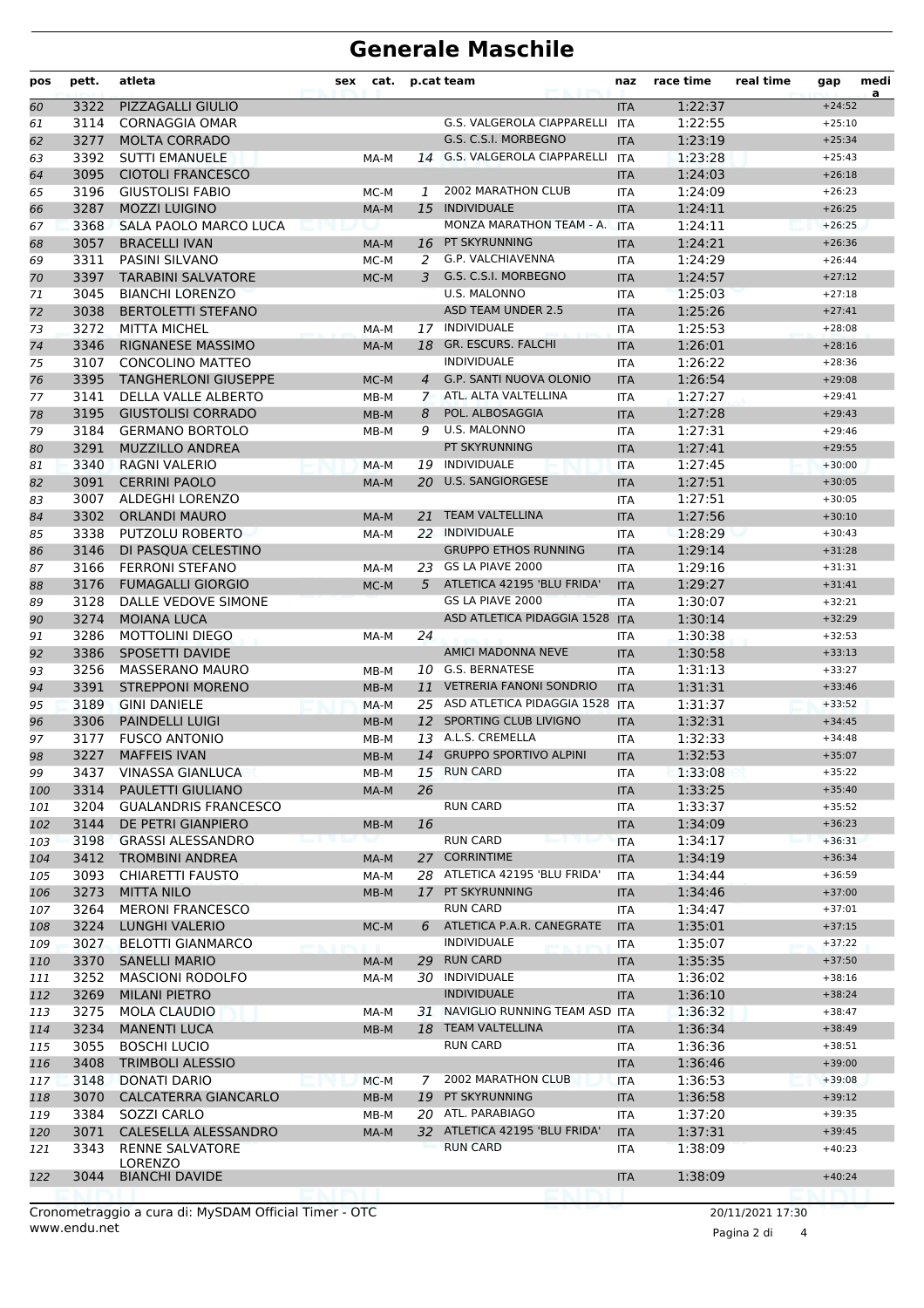# **Generale Maschile**

| pos        | pett.        | atleta                                                | sex | cat.         |                | p.cat team                                          | naz                      | race time          | real time        | gap                  | medi |
|------------|--------------|-------------------------------------------------------|-----|--------------|----------------|-----------------------------------------------------|--------------------------|--------------------|------------------|----------------------|------|
| 60         | 3322         | PIZZAGALLI GIULIO                                     |     |              |                |                                                     | <b>ITA</b>               | 1:22:37            |                  | $+24:52$             | a    |
| 61         | 3114         | <b>CORNAGGIA OMAR</b>                                 |     |              |                | <b>G.S. VALGEROLA CIAPPARELLI</b>                   | <b>ITA</b>               | 1:22:55            |                  | $+25:10$             |      |
| 62         | 3277         | <b>MOLTA CORRADO</b>                                  |     |              |                | G.S. C.S.I. MORBEGNO                                | <b>ITA</b>               | 1:23:19            |                  | $+25:34$             |      |
| 63         | 3392         | <b>SUTTI EMANUELE</b>                                 |     | MA-M         |                | 14 G.S. VALGEROLA CIAPPARELLI                       | <b>ITA</b>               | 1:23:28            |                  | $+25:43$             |      |
| 64         | 3095         | <b>CIOTOLI FRANCESCO</b>                              |     |              |                |                                                     | <b>ITA</b>               | 1:24:03            |                  | $+26:18$             |      |
| 65         | 3196         | <b>GIUSTOLISI FABIO</b>                               |     | MC-M         | 1              | 2002 MARATHON CLUB                                  | <b>ITA</b>               | 1:24:09            |                  | $+26:23$             |      |
| 66         | 3287         | <b>MOZZI LUIGINO</b>                                  |     | MA-M         | 15             | <b>INDIVIDUALE</b><br>MONZA MARATHON TEAM - A.      | <b>ITA</b>               | 1:24:11            |                  | $+26:25$             |      |
| 67         | 3368<br>3057 | SALA PAOLO MARCO LUCA<br><b>BRACELLI IVAN</b>         |     |              |                | 16 PT SKYRUNNING                                    | <b>ITA</b>               | 1:24:11<br>1:24:21 |                  | $+26:25$<br>$+26:36$ |      |
| 68<br>69   | 3311         | PASINI SILVANO                                        |     | MA-M<br>MC-M | 2              | G.P. VALCHIAVENNA                                   | <b>ITA</b><br><b>ITA</b> | 1:24:29            |                  | $+26:44$             |      |
| 70         | 3397         | <b>TARABINI SALVATORE</b>                             |     | MC-M         | 3              | G.S. C.S.I. MORBEGNO                                | <b>ITA</b>               | 1:24:57            |                  | $+27:12$             |      |
| 71         | 3045         | <b>BIANCHI LORENZO</b>                                |     |              |                | U.S. MALONNO                                        | <b>ITA</b>               | 1:25:03            |                  | $+27:18$             |      |
| 72         | 3038         | <b>BERTOLETTI STEFANO</b>                             |     |              |                | <b>ASD TEAM UNDER 2.5</b>                           | <b>ITA</b>               | 1:25:26            |                  | $+27:41$             |      |
| 73         | 3272         | <b>MITTA MICHEL</b>                                   |     | MA-M         | 17             | INDIVIDUALE                                         | <b>ITA</b>               | 1:25:53            |                  | $+28:08$             |      |
| 74         | 3346         | RIGNANESE MASSIMO                                     |     | MA-M         |                | 18 GR. ESCURS. FALCHI                               | <b>ITA</b>               | 1:26:01            |                  | $+28:16$             |      |
| 75         | 3107         | <b>CONCOLINO MATTEO</b>                               |     |              |                | <b>INDIVIDUALE</b>                                  | <b>ITA</b>               | 1:26:22            |                  | $+28:36$             |      |
| 76         | 3395         | <b>TANGHERLONI GIUSEPPE</b>                           |     | MC-M         | $\overline{4}$ | <b>G.P. SANTI NUOVA OLONIO</b>                      | <b>ITA</b>               | 1:26:54            |                  | $+29:08$             |      |
| 77         | 3141         | DELLA VALLE ALBERTO                                   |     | MB-M         | $\mathcal{I}$  | ATL. ALTA VALTELLINA                                | <b>ITA</b>               | 1:27:27            |                  | $+29:41$             |      |
| 78         | 3195         | <b>GIUSTOLISI CORRADO</b>                             |     | $MB-M$       | 8              | POL. ALBOSAGGIA                                     | <b>ITA</b>               | 1:27:28            |                  | $+29:43$             |      |
| 79         | 3184         | <b>GERMANO BORTOLO</b>                                |     | MB-M         | 9              | U.S. MALONNO                                        | <b>ITA</b>               | 1:27:31            |                  | $+29:46$             |      |
| 80         | 3291         | <b>MUZZILLO ANDREA</b>                                |     |              |                | PT SKYRUNNING                                       | <b>ITA</b>               | 1:27:41            |                  | $+29:55$             |      |
| 81         | 3340         | <b>RAGNI VALERIO</b>                                  |     | MA-M         |                | 19 INDIVIDUALE                                      | <b>ITA</b>               | 1:27:45            |                  | $+30:00$             |      |
| 82         | 3091         | <b>CERRINI PAOLO</b>                                  |     | MA-M         |                | 20 U.S. SANGIORGESE                                 | <b>ITA</b>               | 1:27:51            |                  | $+30:05$             |      |
| 83         | 3007         | ALDEGHI LORENZO                                       |     |              |                |                                                     | <b>ITA</b>               | 1:27:51            |                  | $+30:05$             |      |
| 84         | 3302         | <b>ORLANDI MAURO</b>                                  |     | MA-M         | 21             | <b>TEAM VALTELLINA</b>                              | <b>ITA</b>               | 1:27:56            |                  | $+30:10$             |      |
| 85         | 3338         | PUTZOLU ROBERTO                                       |     | MA-M         |                | 22 INDIVIDUALE                                      | <b>ITA</b>               | 1:28:29            |                  | $+30:43$             |      |
| 86         | 3146         | DI PASQUA CELESTINO                                   |     |              |                | <b>GRUPPO ETHOS RUNNING</b>                         | <b>ITA</b>               | 1:29:14            |                  | $+31:28$             |      |
| 87         | 3166         | <b>FERRONI STEFANO</b>                                |     | MA-M         |                | 23 GS LA PIAVE 2000                                 | <b>ITA</b>               | 1:29:16            |                  | $+31:31$             |      |
| 88         | 3176         | <b>FUMAGALLI GIORGIO</b>                              |     | MC-M         | 5              | ATLETICA 42195 'BLU FRIDA'                          | <b>ITA</b>               | 1:29:27            |                  | $+31:41$             |      |
| 89         | 3128         | DALLE VEDOVE SIMONE                                   |     |              |                | GS LA PIAVE 2000                                    | <b>ITA</b>               | 1:30:07            |                  | $+32:21$             |      |
| 90         | 3274         | <b>MOIANA LUCA</b>                                    |     |              |                | ASD ATLETICA PIDAGGIA 1528                          | <b>ITA</b>               | 1:30:14            |                  | $+32:29$             |      |
| 91         | 3286         | <b>MOTTOLINI DIEGO</b>                                |     | MA-M         | 24             |                                                     | <b>ITA</b>               | 1:30:38            |                  | $+32:53$             |      |
| 92         | 3386         | SPOSETTI DAVIDE                                       |     |              |                | <b>AMICI MADONNA NEVE</b>                           | <b>ITA</b>               | 1:30:58            |                  | $+33:13$             |      |
| 93         | 3256<br>3391 | <b>MASSERANO MAURO</b><br><b>STREPPONI MORENO</b>     |     | MB-M         |                | 10 G.S. BERNATESE<br><b>VETRERIA FANONI SONDRIO</b> | <b>ITA</b>               | 1:31:13<br>1:31:31 |                  | $+33:27$             |      |
| 94         | 3189         | <b>GINI DANIELE</b>                                   |     | $MB-M$       | 11             | 25 ASD ATLETICA PIDAGGIA 1528                       | <b>ITA</b><br><b>ITA</b> | 1:31:37            |                  | $+33:46$<br>$+33:52$ |      |
| 95<br>96   | 3306         | <b>PAINDELLI LUIGI</b>                                |     | MA-M<br>MB-M | <sup>12</sup>  | SPORTING CLUB LIVIGNO                               | <b>ITA</b>               | 1:32:31            |                  | $+34:45$             |      |
| 97         | 3177         | <b>FUSCO ANTONIO</b>                                  |     | MB-M         |                | 13 A.L.S. CREMELLA                                  | <b>ITA</b>               | 1:32:33            |                  | $+34:48$             |      |
| 98         | 3227         | <b>MAFFEIS IVAN</b>                                   |     | MB-M         |                | 14 GRUPPO SPORTIVO ALPINI                           | <b>ITA</b>               | 1:32:53            |                  | $+35:07$             |      |
| 99         | 3437         | <b>VINASSA GIANLUCA</b>                               |     | MB-M         |                | 15 RUN CARD                                         | ITA                      | 1:33:08            |                  | $+35:22$             |      |
| 100        | 3314         | <b>PAULETTI GIULIANO</b>                              |     | MA-M         | 26             |                                                     | <b>ITA</b>               | 1:33:25            |                  | $+35:40$             |      |
| 101        | 3204         | <b>GUALANDRIS FRANCESCO</b>                           |     |              |                | <b>RUN CARD</b>                                     | <b>ITA</b>               | 1:33:37            |                  | $+35:52$             |      |
| 102        | 3144         | DE PETRI GIANPIERO                                    |     | MB-M         | 16             |                                                     | <b>ITA</b>               | 1:34:09            |                  | $+36:23$             |      |
| 103        | 3198         | <b>GRASSI ALESSANDRO</b>                              |     |              |                | <b>RUN CARD</b>                                     | <b>ITA</b>               | 1:34:17            |                  | $+36:31$             |      |
| 104        | 3412         | <b>TROMBINI ANDREA</b>                                |     | MA-M         | 27             | <b>CORRINTIME</b>                                   | <b>ITA</b>               | 1:34:19            |                  | $+36:34$             |      |
| 105        | 3093         | <b>CHIARETTI FAUSTO</b>                               |     | MA-M         |                | 28 ATLETICA 42195 'BLU FRIDA'                       | <b>ITA</b>               | 1:34:44            |                  | $+36:59$             |      |
| 106        | 3273         | <b>MITTA NILO</b>                                     |     | MB-M         | 17             | PT SKYRUNNING                                       | <b>ITA</b>               | 1:34:46            |                  | $+37:00$             |      |
| 107        | 3264         | <b>MERONI FRANCESCO</b>                               |     |              |                | <b>RUN CARD</b>                                     | <b>ITA</b>               | 1:34:47            |                  | $+37:01$             |      |
| 108        | 3224         | <b>LUNGHI VALERIO</b>                                 |     | MC-M         | 6              | ATLETICA P.A.R. CANEGRATE                           | <b>ITA</b>               | 1:35:01            |                  | $+37:15$             |      |
| 109        | 3027         | <b>BELOTTI GIANMARCO</b>                              |     |              |                | <b>INDIVIDUALE</b>                                  | <b>ITA</b>               | 1:35:07            |                  | $+37:22$             |      |
| 110        | 3370         | <b>SANELLI MARIO</b>                                  |     | MA-M         | 29             | <b>RUN CARD</b>                                     | <b>ITA</b>               | 1:35:35            |                  | $+37:50$             |      |
| 111        | 3252         | <b>MASCIONI RODOLFO</b>                               |     | MA-M         |                | 30 INDIVIDUALE                                      | ITA                      | 1:36:02            |                  | $+38:16$             |      |
| 112        | 3269         | <b>MILANI PIETRO</b>                                  |     |              |                | <b>INDIVIDUALE</b>                                  | <b>ITA</b>               | 1:36:10            |                  | $+38:24$             |      |
| 113        | 3275         | <b>MOLA CLAUDIO</b>                                   |     | MA-M         | 31             | NAVIGLIO RUNNING TEAM ASD                           | <b>ITA</b>               | 1:36:32            |                  | $+38:47$             |      |
| 114        | 3234         | <b>MANENTI LUCA</b>                                   |     | MB-M         |                | 18 TEAM VALTELLINA                                  | <b>ITA</b>               | 1:36:34            |                  | $+38:49$             |      |
| 115        | 3055<br>3408 | <b>BOSCHI LUCIO</b>                                   |     |              |                | RUN CARD                                            | <b>ITA</b>               | 1:36:36            |                  | $+38:51$<br>$+39:00$ |      |
| 116        | 3148         | <b>TRIMBOLI ALESSIO</b><br>DONATI DARIO               |     | MC-M         | 7              | 2002 MARATHON CLUB                                  | <b>ITA</b><br><b>ITA</b> | 1:36:46<br>1:36:53 |                  | $+39:08$             |      |
| 117<br>118 | 3070         | CALCATERRA GIANCARLO                                  |     | MB-M         | 19             | PT SKYRUNNING                                       | <b>ITA</b>               | 1:36:58            |                  | $+39:12$             |      |
| 119        | 3384         | SOZZI CARLO                                           |     | MB-M         |                | 20 ATL. PARABIAGO                                   | ITA                      | 1:37:20            |                  | $+39:35$             |      |
| 120        | 3071         | CALESELLA ALESSANDRO                                  |     | MA-M         |                | 32 ATLETICA 42195 'BLU FRIDA'                       | <b>ITA</b>               | 1:37:31            |                  | $+39:45$             |      |
| 121        | 3343         | <b>RENNE SALVATORE</b>                                |     |              |                | <b>RUN CARD</b>                                     | <b>ITA</b>               | 1:38:09            |                  | $+40:23$             |      |
|            |              | LORENZO                                               |     |              |                |                                                     |                          |                    |                  |                      |      |
| 122        | 3044         | <b>BIANCHI DAVIDE</b>                                 |     |              |                |                                                     | <b>ITA</b>               | 1:38:09            |                  | $+40:24$             |      |
|            |              |                                                       |     |              |                |                                                     |                          |                    |                  |                      |      |
|            |              | Cronometraggio a cura di: MySDAM Official Timer - OTC |     |              |                |                                                     |                          |                    | 20/11/2021 17:30 |                      |      |

Pagina 2 di 4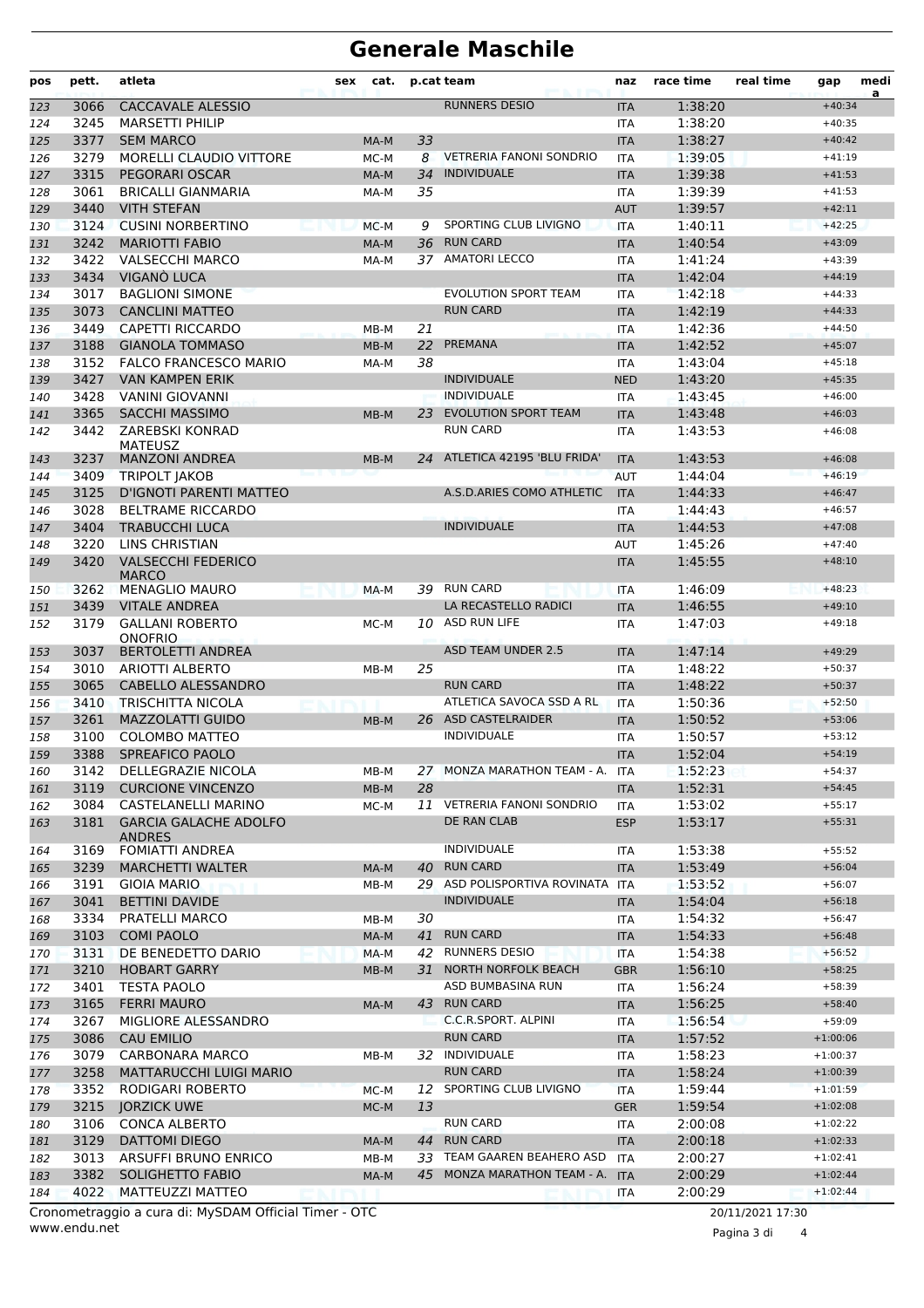# **Generale Maschile**

| <b>RUNNERS DESIO</b><br><b>CACCAVALE ALESSIO</b><br>1:38:20<br>3066<br>$+40:34$<br>123<br><b>ITA</b><br>3245<br><b>MARSETTI PHILIP</b><br>1:38:20<br>124<br><b>ITA</b><br>$+40:35$<br>3377<br><b>SEM MARCO</b><br>33<br>1:38:27<br>125<br><b>ITA</b><br>$+40:42$<br>MA-M<br>3279<br><b>VETRERIA FANONI SONDRIO</b><br><b>MORELLI CLAUDIO VITTORE</b><br>8<br>1:39:05<br>$+41:19$<br>126<br>MC-M<br><b>ITA</b><br><b>INDIVIDUALE</b><br><b>PEGORARI OSCAR</b><br>3315<br>34<br>1:39:38<br>127<br>MA-M<br><b>ITA</b><br>$+41:53$<br>1:39:39<br>3061<br><b>BRICALLI GIANMARIA</b><br>35<br>128<br>MA-M<br><b>ITA</b><br>$+41:53$<br><b>VITH STEFAN</b><br>1:39:57<br>3440<br>$+42:11$<br>129<br><b>AUT</b><br>SPORTING CLUB LIVIGNO<br>3124<br><b>CUSINI NORBERTINO</b><br>1:40:11<br>130<br>MC-M<br>9<br><b>ITA</b><br>$+42:25$<br><b>RUN CARD</b><br>1:40:54<br>3242<br><b>MARIOTTI FABIO</b><br>36<br>MA-M<br><b>ITA</b><br>$+43:09$<br>131<br><b>AMATORI LECCO</b><br>3422<br><b>VALSECCHI MARCO</b><br>$+43:39$<br>1:41:24<br>132<br>MA-M<br>37<br><b>ITA</b><br>3434<br>VIGANO LUCA<br>1:42:04<br><b>ITA</b><br>$+44:19$<br>133<br>3017<br><b>BAGLIONI SIMONE</b><br><b>EVOLUTION SPORT TEAM</b><br>1:42:18<br><b>ITA</b><br>134<br>$+44:33$<br><b>RUN CARD</b><br>3073<br><b>CANCLINI MATTEO</b><br>1:42:19<br>$+44:33$<br>135<br><b>ITA</b><br>3449<br>CAPETTI RICCARDO<br>21<br>1:42:36<br>136<br>$MB-M$<br><b>ITA</b><br>$+44:50$<br>3188<br>22<br>PREMANA<br>1:42:52<br><b>GIANOLA TOMMASO</b><br>$+45:07$<br>$MB-M$<br><b>ITA</b><br>137<br>38<br>3152<br><b>FALCO FRANCESCO MARIO</b><br>1:43:04<br>$+45:18$<br>138<br>MA-M<br><b>ITA</b><br>3427<br><b>VAN KAMPEN ERIK</b><br><b>INDIVIDUALE</b><br>1:43:20<br>139<br><b>NED</b><br>$+45:35$<br>3428<br><b>INDIVIDUALE</b><br><b>VANINI GIOVANNI</b><br>1:43:45<br>$+46:00$<br>140<br><b>ITA</b><br><b>EVOLUTION SPORT TEAM</b><br><b>SACCHI MASSIMO</b><br>3365<br>23<br>1:43:48<br>$+46:03$<br>141<br>$MB-M$<br><b>ITA</b><br><b>ZAREBSKI KONRAD</b><br><b>RUN CARD</b><br>3442<br>1:43:53<br>142<br><b>ITA</b><br>$+46:08$<br><b>MATEUSZ</b><br>3237<br><b>MANZONI ANDREA</b><br>ATLETICA 42195 'BLU FRIDA'<br>1:43:53<br><b>ITA</b><br>$+46:08$<br>143<br>$MB-M$<br>24.<br>3409<br><b>TRIPOLT JAKOB</b><br>1:44:04<br><b>AUT</b><br>$+46:19$<br>144<br>A.S.D.ARIES COMO ATHLETIC<br>3125<br>D'IGNOTI PARENTI MATTEO<br>1:44:33<br>145<br><b>ITA</b><br>$+46:47$<br>3028<br><b>BELTRAME RICCARDO</b><br>1:44:43<br>146<br><b>ITA</b><br>$+46:57$<br><b>INDIVIDUALE</b><br>3404<br><b>TRABUCCHI LUCA</b><br>1:44:53<br>$+47:08$<br>147<br><b>ITA</b><br><b>LINS CHRISTIAN</b><br>3220<br><b>AUT</b><br>1:45:26<br>$+47:40$<br>148<br>3420<br><b>VALSECCHI FEDERICO</b><br>1:45:55<br><b>ITA</b><br>149<br>$+48:10$<br><b>MARCO</b><br>39 RUN CARD<br>3262<br><b>MENAGLIO MAURO</b><br>1:46:09<br>MA-M<br><b>ITA</b><br>$+48:23$<br>150<br><b>VITALE ANDREA</b><br>3439<br>LA RECASTELLO RADICI<br>1:46:55<br>$+49:10$<br><b>ITA</b><br>151<br>ASD RUN LIFE<br>3179<br><b>GALLANI ROBERTO</b><br>1:47:03<br>152<br>MC-M<br>10<br><b>ITA</b><br>$+49:18$<br><b>ONOFRIO</b><br><b>ASD TEAM UNDER 2.5</b><br>3037<br><b>BERTOLETTI ANDREA</b><br>1:47:14<br><b>ITA</b><br>$+49:29$<br>153<br>3010<br>ARIOTTI ALBERTO<br>25<br>1:48:22<br>154<br>$MB-M$<br><b>ITA</b><br>$+50:37$<br>3065<br><b>CABELLO ALESSANDRO</b><br><b>RUN CARD</b><br>1:48:22<br>155<br>$+50:37$<br><b>ITA</b><br>ATLETICA SAVOCA SSD A RL<br>3410<br><b>TRISCHITTA NICOLA</b><br><b>ITA</b><br>1:50:36<br>$+52:50$<br>156<br>26 ASD CASTELRAIDER<br>3261<br><b>MAZZOLATTI GUIDO</b><br>1:50:52<br>157<br>$MB-M$<br><b>ITA</b><br>$+53:06$<br><b>INDIVIDUALE</b><br>3100<br><b>COLOMBO MATTEO</b><br>1:50:57<br>$+53:12$<br>ITA<br>158<br><b>SPREAFICO PAOLO</b><br>3388<br>1:52:04<br>159<br><b>ITA</b><br>$+54:19$<br>1:52:23<br>DELLEGRAZIE NICOLA<br>27 MONZA MARATHON TEAM - A. ITA<br>$+54:37$<br>3142<br>MB-M<br>160<br>$+54:45$<br>3119<br><b>CURCIONE VINCENZO</b><br>28<br>1:52:31<br>161<br>MB-M<br><b>ITA</b><br>11 VETRERIA FANONI SONDRIO<br>3084<br><b>CASTELANELLI MARINO</b><br>1:53:02<br>$+55:17$<br>MC-M<br><b>ITA</b><br>162<br>3181<br><b>GARCIA GALACHE ADOLFO</b><br>DE RAN CLAB<br><b>ESP</b><br>1:53:17<br>$+55:31$<br>163<br><b>ANDRES</b><br>INDIVIDUALE<br>3169<br><b>FOMIATTI ANDREA</b><br>1:53:38<br>$+55:52$<br>164<br>ITA<br><b>RUN CARD</b><br>3239<br>1:53:49<br>$+56:04$<br><b>MARCHETTI WALTER</b><br>40<br>MA-M<br><b>ITA</b><br>165<br>29 ASD POLISPORTIVA ROVINATA<br>3191<br>1:53:52<br>$+56:07$<br><b>GIOIA MARIO</b><br>MB-M<br>ITA<br>166<br>3041<br><b>BETTINI DAVIDE</b><br><b>INDIVIDUALE</b><br>1:54:04<br>$+56:18$<br>167<br><b>ITA</b><br>3334<br>$+56:47$<br>PRATELLI MARCO<br>30<br>1:54:32<br><b>ITA</b><br>168<br>MB-M<br>3103<br><b>RUN CARD</b><br><b>COMI PAOLO</b><br>41<br>1:54:33<br>$+56:48$<br>169<br>MA-M<br><b>ITA</b><br>42 RUNNERS DESIO<br>3131<br>DE BENEDETTO DARIO<br>1:54:38<br>$+56:52$<br>170<br>MA-M<br><b>ITA</b><br>3210<br>31 NORTH NORFOLK BEACH<br>$+58:25$<br><b>HOBART GARRY</b><br>1:56:10<br>MB-M<br><b>GBR</b><br>171<br>3401<br><b>TESTA PAOLO</b><br>ASD BUMBASINA RUN<br>1:56:24<br>$+58:39$<br>172<br>ITA<br>43 RUN CARD<br>3165<br><b>FERRI MAURO</b><br>1:56:25<br>$+58:40$<br>173<br>MA-M<br><b>ITA</b><br>3267<br>C.C.R.SPORT. ALPINI<br>$+59:09$<br>MIGLIORE ALESSANDRO<br>1:56:54<br>174<br><b>ITA</b><br>3086<br><b>RUN CARD</b><br><b>CAU EMILIO</b><br>1:57:52<br>175<br><b>ITA</b><br>$+1:00:06$<br>3079<br>32 INDIVIDUALE<br>CARBONARA MARCO<br>1:58:23<br>$+1:00:37$<br><b>ITA</b><br>176<br>MB-M<br><b>RUN CARD</b><br>3258<br>1:58:24<br><b>MATTARUCCHI LUIGI MARIO</b><br>$+1:00:39$<br><b>ITA</b><br>177<br>SPORTING CLUB LIVIGNO<br>3352<br>RODIGARI ROBERTO<br>1:59:44<br>$+1:01:59$<br>MC-M<br>12<br><b>ITA</b><br>178<br>3215<br><b>JORZICK UWE</b><br>13<br>1:59:54<br>$+1:02:08$<br>179<br><b>GER</b><br>MC-M<br><b>RUN CARD</b><br>$+1:02:22$<br>3106<br><b>CONCA ALBERTO</b><br>2:00:08<br><b>ITA</b><br>180<br>3129<br>44 RUN CARD<br><b>DATTOMI DIEGO</b><br>2:00:18<br>181<br>MA-M<br><b>ITA</b><br>$+1:02:33$<br>3013<br>ARSUFFI BRUNO ENRICO<br>33 TEAM GAAREN BEAHERO ASD<br>2:00:27<br>$+1:02:41$<br>182<br>MB-M<br>ITA<br>3382<br>45 MONZA MARATHON TEAM - A.<br><b>SOLIGHETTO FABIO</b><br><b>ITA</b><br>2:00:29<br>$+1:02:44$<br>MA-M<br>183<br>4022<br>MATTEUZZI MATTEO<br>2:00:29<br>$+1:02:44$<br>184<br><b>ITA</b><br>Cronometraggio a cura di: MySDAM Official Timer - OTC<br>20/11/2021 17:30 | pos | pett. | atleta | sex | cat. | p.cat team | naz | race time | real time | gap | medi<br>a |
|---------------------------------------------------------------------------------------------------------------------------------------------------------------------------------------------------------------------------------------------------------------------------------------------------------------------------------------------------------------------------------------------------------------------------------------------------------------------------------------------------------------------------------------------------------------------------------------------------------------------------------------------------------------------------------------------------------------------------------------------------------------------------------------------------------------------------------------------------------------------------------------------------------------------------------------------------------------------------------------------------------------------------------------------------------------------------------------------------------------------------------------------------------------------------------------------------------------------------------------------------------------------------------------------------------------------------------------------------------------------------------------------------------------------------------------------------------------------------------------------------------------------------------------------------------------------------------------------------------------------------------------------------------------------------------------------------------------------------------------------------------------------------------------------------------------------------------------------------------------------------------------------------------------------------------------------------------------------------------------------------------------------------------------------------------------------------------------------------------------------------------------------------------------------------------------------------------------------------------------------------------------------------------------------------------------------------------------------------------------------------------------------------------------------------------------------------------------------------------------------------------------------------------------------------------------------------------------------------------------------------------------------------------------------------------------------------------------------------------------------------------------------------------------------------------------------------------------------------------------------------------------------------------------------------------------------------------------------------------------------------------------------------------------------------------------------------------------------------------------------------------------------------------------------------------------------------------------------------------------------------------------------------------------------------------------------------------------------------------------------------------------------------------------------------------------------------------------------------------------------------------------------------------------------------------------------------------------------------------------------------------------------------------------------------------------------------------------------------------------------------------------------------------------------------------------------------------------------------------------------------------------------------------------------------------------------------------------------------------------------------------------------------------------------------------------------------------------------------------------------------------------------------------------------------------------------------------------------------------------------------------------------------------------------------------------------------------------------------------------------------------------------------------------------------------------------------------------------------------------------------------------------------------------------------------------------------------------------------------------------------------------------------------------------------------------------------------------------------------------------------------------------------------------------------------------------------------------------------------------------------------------------------------------------------------------------------------------------------------------------------------------------------------------------------------------------------------------------------------------------------------------------------------------------------------------------------------------------------------------------------------------------------------------------------------------------------------------------------------------------------------------------------------------------------------------------------------------------------------------------------------------------------------------------------------------------------------------------------------------------------------------------------------------------------------------------------------------------------------------------------------------------------------------------------------------------------------------------------------------------------------------------------------------------------------------------------------------------------------------------------------------------------------------------------------------------------------------------------------------------------------------------------------------------------------------------------------------------------------------------------------------------------------------------------------------------------------------------------------------------------------------------------------------------------------------------------------------------------------------------------------------------------------------------------------------|-----|-------|--------|-----|------|------------|-----|-----------|-----------|-----|-----------|
|                                                                                                                                                                                                                                                                                                                                                                                                                                                                                                                                                                                                                                                                                                                                                                                                                                                                                                                                                                                                                                                                                                                                                                                                                                                                                                                                                                                                                                                                                                                                                                                                                                                                                                                                                                                                                                                                                                                                                                                                                                                                                                                                                                                                                                                                                                                                                                                                                                                                                                                                                                                                                                                                                                                                                                                                                                                                                                                                                                                                                                                                                                                                                                                                                                                                                                                                                                                                                                                                                                                                                                                                                                                                                                                                                                                                                                                                                                                                                                                                                                                                                                                                                                                                                                                                                                                                                                                                                                                                                                                                                                                                                                                                                                                                                                                                                                                                                                                                                                                                                                                                                                                                                                                                                                                                                                                                                                                                                                                                                                                                                                                                                                                                                                                                                                                                                                                                                                                                                                                                                                                                                                                                                                                                                                                                                                                                                                                                                                                                                                                                                               |     |       |        |     |      |            |     |           |           |     |           |
|                                                                                                                                                                                                                                                                                                                                                                                                                                                                                                                                                                                                                                                                                                                                                                                                                                                                                                                                                                                                                                                                                                                                                                                                                                                                                                                                                                                                                                                                                                                                                                                                                                                                                                                                                                                                                                                                                                                                                                                                                                                                                                                                                                                                                                                                                                                                                                                                                                                                                                                                                                                                                                                                                                                                                                                                                                                                                                                                                                                                                                                                                                                                                                                                                                                                                                                                                                                                                                                                                                                                                                                                                                                                                                                                                                                                                                                                                                                                                                                                                                                                                                                                                                                                                                                                                                                                                                                                                                                                                                                                                                                                                                                                                                                                                                                                                                                                                                                                                                                                                                                                                                                                                                                                                                                                                                                                                                                                                                                                                                                                                                                                                                                                                                                                                                                                                                                                                                                                                                                                                                                                                                                                                                                                                                                                                                                                                                                                                                                                                                                                                               |     |       |        |     |      |            |     |           |           |     |           |
|                                                                                                                                                                                                                                                                                                                                                                                                                                                                                                                                                                                                                                                                                                                                                                                                                                                                                                                                                                                                                                                                                                                                                                                                                                                                                                                                                                                                                                                                                                                                                                                                                                                                                                                                                                                                                                                                                                                                                                                                                                                                                                                                                                                                                                                                                                                                                                                                                                                                                                                                                                                                                                                                                                                                                                                                                                                                                                                                                                                                                                                                                                                                                                                                                                                                                                                                                                                                                                                                                                                                                                                                                                                                                                                                                                                                                                                                                                                                                                                                                                                                                                                                                                                                                                                                                                                                                                                                                                                                                                                                                                                                                                                                                                                                                                                                                                                                                                                                                                                                                                                                                                                                                                                                                                                                                                                                                                                                                                                                                                                                                                                                                                                                                                                                                                                                                                                                                                                                                                                                                                                                                                                                                                                                                                                                                                                                                                                                                                                                                                                                                               |     |       |        |     |      |            |     |           |           |     |           |
|                                                                                                                                                                                                                                                                                                                                                                                                                                                                                                                                                                                                                                                                                                                                                                                                                                                                                                                                                                                                                                                                                                                                                                                                                                                                                                                                                                                                                                                                                                                                                                                                                                                                                                                                                                                                                                                                                                                                                                                                                                                                                                                                                                                                                                                                                                                                                                                                                                                                                                                                                                                                                                                                                                                                                                                                                                                                                                                                                                                                                                                                                                                                                                                                                                                                                                                                                                                                                                                                                                                                                                                                                                                                                                                                                                                                                                                                                                                                                                                                                                                                                                                                                                                                                                                                                                                                                                                                                                                                                                                                                                                                                                                                                                                                                                                                                                                                                                                                                                                                                                                                                                                                                                                                                                                                                                                                                                                                                                                                                                                                                                                                                                                                                                                                                                                                                                                                                                                                                                                                                                                                                                                                                                                                                                                                                                                                                                                                                                                                                                                                                               |     |       |        |     |      |            |     |           |           |     |           |
|                                                                                                                                                                                                                                                                                                                                                                                                                                                                                                                                                                                                                                                                                                                                                                                                                                                                                                                                                                                                                                                                                                                                                                                                                                                                                                                                                                                                                                                                                                                                                                                                                                                                                                                                                                                                                                                                                                                                                                                                                                                                                                                                                                                                                                                                                                                                                                                                                                                                                                                                                                                                                                                                                                                                                                                                                                                                                                                                                                                                                                                                                                                                                                                                                                                                                                                                                                                                                                                                                                                                                                                                                                                                                                                                                                                                                                                                                                                                                                                                                                                                                                                                                                                                                                                                                                                                                                                                                                                                                                                                                                                                                                                                                                                                                                                                                                                                                                                                                                                                                                                                                                                                                                                                                                                                                                                                                                                                                                                                                                                                                                                                                                                                                                                                                                                                                                                                                                                                                                                                                                                                                                                                                                                                                                                                                                                                                                                                                                                                                                                                                               |     |       |        |     |      |            |     |           |           |     |           |
|                                                                                                                                                                                                                                                                                                                                                                                                                                                                                                                                                                                                                                                                                                                                                                                                                                                                                                                                                                                                                                                                                                                                                                                                                                                                                                                                                                                                                                                                                                                                                                                                                                                                                                                                                                                                                                                                                                                                                                                                                                                                                                                                                                                                                                                                                                                                                                                                                                                                                                                                                                                                                                                                                                                                                                                                                                                                                                                                                                                                                                                                                                                                                                                                                                                                                                                                                                                                                                                                                                                                                                                                                                                                                                                                                                                                                                                                                                                                                                                                                                                                                                                                                                                                                                                                                                                                                                                                                                                                                                                                                                                                                                                                                                                                                                                                                                                                                                                                                                                                                                                                                                                                                                                                                                                                                                                                                                                                                                                                                                                                                                                                                                                                                                                                                                                                                                                                                                                                                                                                                                                                                                                                                                                                                                                                                                                                                                                                                                                                                                                                                               |     |       |        |     |      |            |     |           |           |     |           |
|                                                                                                                                                                                                                                                                                                                                                                                                                                                                                                                                                                                                                                                                                                                                                                                                                                                                                                                                                                                                                                                                                                                                                                                                                                                                                                                                                                                                                                                                                                                                                                                                                                                                                                                                                                                                                                                                                                                                                                                                                                                                                                                                                                                                                                                                                                                                                                                                                                                                                                                                                                                                                                                                                                                                                                                                                                                                                                                                                                                                                                                                                                                                                                                                                                                                                                                                                                                                                                                                                                                                                                                                                                                                                                                                                                                                                                                                                                                                                                                                                                                                                                                                                                                                                                                                                                                                                                                                                                                                                                                                                                                                                                                                                                                                                                                                                                                                                                                                                                                                                                                                                                                                                                                                                                                                                                                                                                                                                                                                                                                                                                                                                                                                                                                                                                                                                                                                                                                                                                                                                                                                                                                                                                                                                                                                                                                                                                                                                                                                                                                                                               |     |       |        |     |      |            |     |           |           |     |           |
|                                                                                                                                                                                                                                                                                                                                                                                                                                                                                                                                                                                                                                                                                                                                                                                                                                                                                                                                                                                                                                                                                                                                                                                                                                                                                                                                                                                                                                                                                                                                                                                                                                                                                                                                                                                                                                                                                                                                                                                                                                                                                                                                                                                                                                                                                                                                                                                                                                                                                                                                                                                                                                                                                                                                                                                                                                                                                                                                                                                                                                                                                                                                                                                                                                                                                                                                                                                                                                                                                                                                                                                                                                                                                                                                                                                                                                                                                                                                                                                                                                                                                                                                                                                                                                                                                                                                                                                                                                                                                                                                                                                                                                                                                                                                                                                                                                                                                                                                                                                                                                                                                                                                                                                                                                                                                                                                                                                                                                                                                                                                                                                                                                                                                                                                                                                                                                                                                                                                                                                                                                                                                                                                                                                                                                                                                                                                                                                                                                                                                                                                                               |     |       |        |     |      |            |     |           |           |     |           |
|                                                                                                                                                                                                                                                                                                                                                                                                                                                                                                                                                                                                                                                                                                                                                                                                                                                                                                                                                                                                                                                                                                                                                                                                                                                                                                                                                                                                                                                                                                                                                                                                                                                                                                                                                                                                                                                                                                                                                                                                                                                                                                                                                                                                                                                                                                                                                                                                                                                                                                                                                                                                                                                                                                                                                                                                                                                                                                                                                                                                                                                                                                                                                                                                                                                                                                                                                                                                                                                                                                                                                                                                                                                                                                                                                                                                                                                                                                                                                                                                                                                                                                                                                                                                                                                                                                                                                                                                                                                                                                                                                                                                                                                                                                                                                                                                                                                                                                                                                                                                                                                                                                                                                                                                                                                                                                                                                                                                                                                                                                                                                                                                                                                                                                                                                                                                                                                                                                                                                                                                                                                                                                                                                                                                                                                                                                                                                                                                                                                                                                                                                               |     |       |        |     |      |            |     |           |           |     |           |
|                                                                                                                                                                                                                                                                                                                                                                                                                                                                                                                                                                                                                                                                                                                                                                                                                                                                                                                                                                                                                                                                                                                                                                                                                                                                                                                                                                                                                                                                                                                                                                                                                                                                                                                                                                                                                                                                                                                                                                                                                                                                                                                                                                                                                                                                                                                                                                                                                                                                                                                                                                                                                                                                                                                                                                                                                                                                                                                                                                                                                                                                                                                                                                                                                                                                                                                                                                                                                                                                                                                                                                                                                                                                                                                                                                                                                                                                                                                                                                                                                                                                                                                                                                                                                                                                                                                                                                                                                                                                                                                                                                                                                                                                                                                                                                                                                                                                                                                                                                                                                                                                                                                                                                                                                                                                                                                                                                                                                                                                                                                                                                                                                                                                                                                                                                                                                                                                                                                                                                                                                                                                                                                                                                                                                                                                                                                                                                                                                                                                                                                                                               |     |       |        |     |      |            |     |           |           |     |           |
|                                                                                                                                                                                                                                                                                                                                                                                                                                                                                                                                                                                                                                                                                                                                                                                                                                                                                                                                                                                                                                                                                                                                                                                                                                                                                                                                                                                                                                                                                                                                                                                                                                                                                                                                                                                                                                                                                                                                                                                                                                                                                                                                                                                                                                                                                                                                                                                                                                                                                                                                                                                                                                                                                                                                                                                                                                                                                                                                                                                                                                                                                                                                                                                                                                                                                                                                                                                                                                                                                                                                                                                                                                                                                                                                                                                                                                                                                                                                                                                                                                                                                                                                                                                                                                                                                                                                                                                                                                                                                                                                                                                                                                                                                                                                                                                                                                                                                                                                                                                                                                                                                                                                                                                                                                                                                                                                                                                                                                                                                                                                                                                                                                                                                                                                                                                                                                                                                                                                                                                                                                                                                                                                                                                                                                                                                                                                                                                                                                                                                                                                                               |     |       |        |     |      |            |     |           |           |     |           |
|                                                                                                                                                                                                                                                                                                                                                                                                                                                                                                                                                                                                                                                                                                                                                                                                                                                                                                                                                                                                                                                                                                                                                                                                                                                                                                                                                                                                                                                                                                                                                                                                                                                                                                                                                                                                                                                                                                                                                                                                                                                                                                                                                                                                                                                                                                                                                                                                                                                                                                                                                                                                                                                                                                                                                                                                                                                                                                                                                                                                                                                                                                                                                                                                                                                                                                                                                                                                                                                                                                                                                                                                                                                                                                                                                                                                                                                                                                                                                                                                                                                                                                                                                                                                                                                                                                                                                                                                                                                                                                                                                                                                                                                                                                                                                                                                                                                                                                                                                                                                                                                                                                                                                                                                                                                                                                                                                                                                                                                                                                                                                                                                                                                                                                                                                                                                                                                                                                                                                                                                                                                                                                                                                                                                                                                                                                                                                                                                                                                                                                                                                               |     |       |        |     |      |            |     |           |           |     |           |
|                                                                                                                                                                                                                                                                                                                                                                                                                                                                                                                                                                                                                                                                                                                                                                                                                                                                                                                                                                                                                                                                                                                                                                                                                                                                                                                                                                                                                                                                                                                                                                                                                                                                                                                                                                                                                                                                                                                                                                                                                                                                                                                                                                                                                                                                                                                                                                                                                                                                                                                                                                                                                                                                                                                                                                                                                                                                                                                                                                                                                                                                                                                                                                                                                                                                                                                                                                                                                                                                                                                                                                                                                                                                                                                                                                                                                                                                                                                                                                                                                                                                                                                                                                                                                                                                                                                                                                                                                                                                                                                                                                                                                                                                                                                                                                                                                                                                                                                                                                                                                                                                                                                                                                                                                                                                                                                                                                                                                                                                                                                                                                                                                                                                                                                                                                                                                                                                                                                                                                                                                                                                                                                                                                                                                                                                                                                                                                                                                                                                                                                                                               |     |       |        |     |      |            |     |           |           |     |           |
|                                                                                                                                                                                                                                                                                                                                                                                                                                                                                                                                                                                                                                                                                                                                                                                                                                                                                                                                                                                                                                                                                                                                                                                                                                                                                                                                                                                                                                                                                                                                                                                                                                                                                                                                                                                                                                                                                                                                                                                                                                                                                                                                                                                                                                                                                                                                                                                                                                                                                                                                                                                                                                                                                                                                                                                                                                                                                                                                                                                                                                                                                                                                                                                                                                                                                                                                                                                                                                                                                                                                                                                                                                                                                                                                                                                                                                                                                                                                                                                                                                                                                                                                                                                                                                                                                                                                                                                                                                                                                                                                                                                                                                                                                                                                                                                                                                                                                                                                                                                                                                                                                                                                                                                                                                                                                                                                                                                                                                                                                                                                                                                                                                                                                                                                                                                                                                                                                                                                                                                                                                                                                                                                                                                                                                                                                                                                                                                                                                                                                                                                                               |     |       |        |     |      |            |     |           |           |     |           |
|                                                                                                                                                                                                                                                                                                                                                                                                                                                                                                                                                                                                                                                                                                                                                                                                                                                                                                                                                                                                                                                                                                                                                                                                                                                                                                                                                                                                                                                                                                                                                                                                                                                                                                                                                                                                                                                                                                                                                                                                                                                                                                                                                                                                                                                                                                                                                                                                                                                                                                                                                                                                                                                                                                                                                                                                                                                                                                                                                                                                                                                                                                                                                                                                                                                                                                                                                                                                                                                                                                                                                                                                                                                                                                                                                                                                                                                                                                                                                                                                                                                                                                                                                                                                                                                                                                                                                                                                                                                                                                                                                                                                                                                                                                                                                                                                                                                                                                                                                                                                                                                                                                                                                                                                                                                                                                                                                                                                                                                                                                                                                                                                                                                                                                                                                                                                                                                                                                                                                                                                                                                                                                                                                                                                                                                                                                                                                                                                                                                                                                                                                               |     |       |        |     |      |            |     |           |           |     |           |
|                                                                                                                                                                                                                                                                                                                                                                                                                                                                                                                                                                                                                                                                                                                                                                                                                                                                                                                                                                                                                                                                                                                                                                                                                                                                                                                                                                                                                                                                                                                                                                                                                                                                                                                                                                                                                                                                                                                                                                                                                                                                                                                                                                                                                                                                                                                                                                                                                                                                                                                                                                                                                                                                                                                                                                                                                                                                                                                                                                                                                                                                                                                                                                                                                                                                                                                                                                                                                                                                                                                                                                                                                                                                                                                                                                                                                                                                                                                                                                                                                                                                                                                                                                                                                                                                                                                                                                                                                                                                                                                                                                                                                                                                                                                                                                                                                                                                                                                                                                                                                                                                                                                                                                                                                                                                                                                                                                                                                                                                                                                                                                                                                                                                                                                                                                                                                                                                                                                                                                                                                                                                                                                                                                                                                                                                                                                                                                                                                                                                                                                                                               |     |       |        |     |      |            |     |           |           |     |           |
|                                                                                                                                                                                                                                                                                                                                                                                                                                                                                                                                                                                                                                                                                                                                                                                                                                                                                                                                                                                                                                                                                                                                                                                                                                                                                                                                                                                                                                                                                                                                                                                                                                                                                                                                                                                                                                                                                                                                                                                                                                                                                                                                                                                                                                                                                                                                                                                                                                                                                                                                                                                                                                                                                                                                                                                                                                                                                                                                                                                                                                                                                                                                                                                                                                                                                                                                                                                                                                                                                                                                                                                                                                                                                                                                                                                                                                                                                                                                                                                                                                                                                                                                                                                                                                                                                                                                                                                                                                                                                                                                                                                                                                                                                                                                                                                                                                                                                                                                                                                                                                                                                                                                                                                                                                                                                                                                                                                                                                                                                                                                                                                                                                                                                                                                                                                                                                                                                                                                                                                                                                                                                                                                                                                                                                                                                                                                                                                                                                                                                                                                                               |     |       |        |     |      |            |     |           |           |     |           |
|                                                                                                                                                                                                                                                                                                                                                                                                                                                                                                                                                                                                                                                                                                                                                                                                                                                                                                                                                                                                                                                                                                                                                                                                                                                                                                                                                                                                                                                                                                                                                                                                                                                                                                                                                                                                                                                                                                                                                                                                                                                                                                                                                                                                                                                                                                                                                                                                                                                                                                                                                                                                                                                                                                                                                                                                                                                                                                                                                                                                                                                                                                                                                                                                                                                                                                                                                                                                                                                                                                                                                                                                                                                                                                                                                                                                                                                                                                                                                                                                                                                                                                                                                                                                                                                                                                                                                                                                                                                                                                                                                                                                                                                                                                                                                                                                                                                                                                                                                                                                                                                                                                                                                                                                                                                                                                                                                                                                                                                                                                                                                                                                                                                                                                                                                                                                                                                                                                                                                                                                                                                                                                                                                                                                                                                                                                                                                                                                                                                                                                                                                               |     |       |        |     |      |            |     |           |           |     |           |
|                                                                                                                                                                                                                                                                                                                                                                                                                                                                                                                                                                                                                                                                                                                                                                                                                                                                                                                                                                                                                                                                                                                                                                                                                                                                                                                                                                                                                                                                                                                                                                                                                                                                                                                                                                                                                                                                                                                                                                                                                                                                                                                                                                                                                                                                                                                                                                                                                                                                                                                                                                                                                                                                                                                                                                                                                                                                                                                                                                                                                                                                                                                                                                                                                                                                                                                                                                                                                                                                                                                                                                                                                                                                                                                                                                                                                                                                                                                                                                                                                                                                                                                                                                                                                                                                                                                                                                                                                                                                                                                                                                                                                                                                                                                                                                                                                                                                                                                                                                                                                                                                                                                                                                                                                                                                                                                                                                                                                                                                                                                                                                                                                                                                                                                                                                                                                                                                                                                                                                                                                                                                                                                                                                                                                                                                                                                                                                                                                                                                                                                                                               |     |       |        |     |      |            |     |           |           |     |           |
|                                                                                                                                                                                                                                                                                                                                                                                                                                                                                                                                                                                                                                                                                                                                                                                                                                                                                                                                                                                                                                                                                                                                                                                                                                                                                                                                                                                                                                                                                                                                                                                                                                                                                                                                                                                                                                                                                                                                                                                                                                                                                                                                                                                                                                                                                                                                                                                                                                                                                                                                                                                                                                                                                                                                                                                                                                                                                                                                                                                                                                                                                                                                                                                                                                                                                                                                                                                                                                                                                                                                                                                                                                                                                                                                                                                                                                                                                                                                                                                                                                                                                                                                                                                                                                                                                                                                                                                                                                                                                                                                                                                                                                                                                                                                                                                                                                                                                                                                                                                                                                                                                                                                                                                                                                                                                                                                                                                                                                                                                                                                                                                                                                                                                                                                                                                                                                                                                                                                                                                                                                                                                                                                                                                                                                                                                                                                                                                                                                                                                                                                                               |     |       |        |     |      |            |     |           |           |     |           |
|                                                                                                                                                                                                                                                                                                                                                                                                                                                                                                                                                                                                                                                                                                                                                                                                                                                                                                                                                                                                                                                                                                                                                                                                                                                                                                                                                                                                                                                                                                                                                                                                                                                                                                                                                                                                                                                                                                                                                                                                                                                                                                                                                                                                                                                                                                                                                                                                                                                                                                                                                                                                                                                                                                                                                                                                                                                                                                                                                                                                                                                                                                                                                                                                                                                                                                                                                                                                                                                                                                                                                                                                                                                                                                                                                                                                                                                                                                                                                                                                                                                                                                                                                                                                                                                                                                                                                                                                                                                                                                                                                                                                                                                                                                                                                                                                                                                                                                                                                                                                                                                                                                                                                                                                                                                                                                                                                                                                                                                                                                                                                                                                                                                                                                                                                                                                                                                                                                                                                                                                                                                                                                                                                                                                                                                                                                                                                                                                                                                                                                                                                               |     |       |        |     |      |            |     |           |           |     |           |
|                                                                                                                                                                                                                                                                                                                                                                                                                                                                                                                                                                                                                                                                                                                                                                                                                                                                                                                                                                                                                                                                                                                                                                                                                                                                                                                                                                                                                                                                                                                                                                                                                                                                                                                                                                                                                                                                                                                                                                                                                                                                                                                                                                                                                                                                                                                                                                                                                                                                                                                                                                                                                                                                                                                                                                                                                                                                                                                                                                                                                                                                                                                                                                                                                                                                                                                                                                                                                                                                                                                                                                                                                                                                                                                                                                                                                                                                                                                                                                                                                                                                                                                                                                                                                                                                                                                                                                                                                                                                                                                                                                                                                                                                                                                                                                                                                                                                                                                                                                                                                                                                                                                                                                                                                                                                                                                                                                                                                                                                                                                                                                                                                                                                                                                                                                                                                                                                                                                                                                                                                                                                                                                                                                                                                                                                                                                                                                                                                                                                                                                                                               |     |       |        |     |      |            |     |           |           |     |           |
|                                                                                                                                                                                                                                                                                                                                                                                                                                                                                                                                                                                                                                                                                                                                                                                                                                                                                                                                                                                                                                                                                                                                                                                                                                                                                                                                                                                                                                                                                                                                                                                                                                                                                                                                                                                                                                                                                                                                                                                                                                                                                                                                                                                                                                                                                                                                                                                                                                                                                                                                                                                                                                                                                                                                                                                                                                                                                                                                                                                                                                                                                                                                                                                                                                                                                                                                                                                                                                                                                                                                                                                                                                                                                                                                                                                                                                                                                                                                                                                                                                                                                                                                                                                                                                                                                                                                                                                                                                                                                                                                                                                                                                                                                                                                                                                                                                                                                                                                                                                                                                                                                                                                                                                                                                                                                                                                                                                                                                                                                                                                                                                                                                                                                                                                                                                                                                                                                                                                                                                                                                                                                                                                                                                                                                                                                                                                                                                                                                                                                                                                                               |     |       |        |     |      |            |     |           |           |     |           |
|                                                                                                                                                                                                                                                                                                                                                                                                                                                                                                                                                                                                                                                                                                                                                                                                                                                                                                                                                                                                                                                                                                                                                                                                                                                                                                                                                                                                                                                                                                                                                                                                                                                                                                                                                                                                                                                                                                                                                                                                                                                                                                                                                                                                                                                                                                                                                                                                                                                                                                                                                                                                                                                                                                                                                                                                                                                                                                                                                                                                                                                                                                                                                                                                                                                                                                                                                                                                                                                                                                                                                                                                                                                                                                                                                                                                                                                                                                                                                                                                                                                                                                                                                                                                                                                                                                                                                                                                                                                                                                                                                                                                                                                                                                                                                                                                                                                                                                                                                                                                                                                                                                                                                                                                                                                                                                                                                                                                                                                                                                                                                                                                                                                                                                                                                                                                                                                                                                                                                                                                                                                                                                                                                                                                                                                                                                                                                                                                                                                                                                                                                               |     |       |        |     |      |            |     |           |           |     |           |
|                                                                                                                                                                                                                                                                                                                                                                                                                                                                                                                                                                                                                                                                                                                                                                                                                                                                                                                                                                                                                                                                                                                                                                                                                                                                                                                                                                                                                                                                                                                                                                                                                                                                                                                                                                                                                                                                                                                                                                                                                                                                                                                                                                                                                                                                                                                                                                                                                                                                                                                                                                                                                                                                                                                                                                                                                                                                                                                                                                                                                                                                                                                                                                                                                                                                                                                                                                                                                                                                                                                                                                                                                                                                                                                                                                                                                                                                                                                                                                                                                                                                                                                                                                                                                                                                                                                                                                                                                                                                                                                                                                                                                                                                                                                                                                                                                                                                                                                                                                                                                                                                                                                                                                                                                                                                                                                                                                                                                                                                                                                                                                                                                                                                                                                                                                                                                                                                                                                                                                                                                                                                                                                                                                                                                                                                                                                                                                                                                                                                                                                                                               |     |       |        |     |      |            |     |           |           |     |           |
|                                                                                                                                                                                                                                                                                                                                                                                                                                                                                                                                                                                                                                                                                                                                                                                                                                                                                                                                                                                                                                                                                                                                                                                                                                                                                                                                                                                                                                                                                                                                                                                                                                                                                                                                                                                                                                                                                                                                                                                                                                                                                                                                                                                                                                                                                                                                                                                                                                                                                                                                                                                                                                                                                                                                                                                                                                                                                                                                                                                                                                                                                                                                                                                                                                                                                                                                                                                                                                                                                                                                                                                                                                                                                                                                                                                                                                                                                                                                                                                                                                                                                                                                                                                                                                                                                                                                                                                                                                                                                                                                                                                                                                                                                                                                                                                                                                                                                                                                                                                                                                                                                                                                                                                                                                                                                                                                                                                                                                                                                                                                                                                                                                                                                                                                                                                                                                                                                                                                                                                                                                                                                                                                                                                                                                                                                                                                                                                                                                                                                                                                                               |     |       |        |     |      |            |     |           |           |     |           |
|                                                                                                                                                                                                                                                                                                                                                                                                                                                                                                                                                                                                                                                                                                                                                                                                                                                                                                                                                                                                                                                                                                                                                                                                                                                                                                                                                                                                                                                                                                                                                                                                                                                                                                                                                                                                                                                                                                                                                                                                                                                                                                                                                                                                                                                                                                                                                                                                                                                                                                                                                                                                                                                                                                                                                                                                                                                                                                                                                                                                                                                                                                                                                                                                                                                                                                                                                                                                                                                                                                                                                                                                                                                                                                                                                                                                                                                                                                                                                                                                                                                                                                                                                                                                                                                                                                                                                                                                                                                                                                                                                                                                                                                                                                                                                                                                                                                                                                                                                                                                                                                                                                                                                                                                                                                                                                                                                                                                                                                                                                                                                                                                                                                                                                                                                                                                                                                                                                                                                                                                                                                                                                                                                                                                                                                                                                                                                                                                                                                                                                                                                               |     |       |        |     |      |            |     |           |           |     |           |
|                                                                                                                                                                                                                                                                                                                                                                                                                                                                                                                                                                                                                                                                                                                                                                                                                                                                                                                                                                                                                                                                                                                                                                                                                                                                                                                                                                                                                                                                                                                                                                                                                                                                                                                                                                                                                                                                                                                                                                                                                                                                                                                                                                                                                                                                                                                                                                                                                                                                                                                                                                                                                                                                                                                                                                                                                                                                                                                                                                                                                                                                                                                                                                                                                                                                                                                                                                                                                                                                                                                                                                                                                                                                                                                                                                                                                                                                                                                                                                                                                                                                                                                                                                                                                                                                                                                                                                                                                                                                                                                                                                                                                                                                                                                                                                                                                                                                                                                                                                                                                                                                                                                                                                                                                                                                                                                                                                                                                                                                                                                                                                                                                                                                                                                                                                                                                                                                                                                                                                                                                                                                                                                                                                                                                                                                                                                                                                                                                                                                                                                                                               |     |       |        |     |      |            |     |           |           |     |           |
|                                                                                                                                                                                                                                                                                                                                                                                                                                                                                                                                                                                                                                                                                                                                                                                                                                                                                                                                                                                                                                                                                                                                                                                                                                                                                                                                                                                                                                                                                                                                                                                                                                                                                                                                                                                                                                                                                                                                                                                                                                                                                                                                                                                                                                                                                                                                                                                                                                                                                                                                                                                                                                                                                                                                                                                                                                                                                                                                                                                                                                                                                                                                                                                                                                                                                                                                                                                                                                                                                                                                                                                                                                                                                                                                                                                                                                                                                                                                                                                                                                                                                                                                                                                                                                                                                                                                                                                                                                                                                                                                                                                                                                                                                                                                                                                                                                                                                                                                                                                                                                                                                                                                                                                                                                                                                                                                                                                                                                                                                                                                                                                                                                                                                                                                                                                                                                                                                                                                                                                                                                                                                                                                                                                                                                                                                                                                                                                                                                                                                                                                                               |     |       |        |     |      |            |     |           |           |     |           |
|                                                                                                                                                                                                                                                                                                                                                                                                                                                                                                                                                                                                                                                                                                                                                                                                                                                                                                                                                                                                                                                                                                                                                                                                                                                                                                                                                                                                                                                                                                                                                                                                                                                                                                                                                                                                                                                                                                                                                                                                                                                                                                                                                                                                                                                                                                                                                                                                                                                                                                                                                                                                                                                                                                                                                                                                                                                                                                                                                                                                                                                                                                                                                                                                                                                                                                                                                                                                                                                                                                                                                                                                                                                                                                                                                                                                                                                                                                                                                                                                                                                                                                                                                                                                                                                                                                                                                                                                                                                                                                                                                                                                                                                                                                                                                                                                                                                                                                                                                                                                                                                                                                                                                                                                                                                                                                                                                                                                                                                                                                                                                                                                                                                                                                                                                                                                                                                                                                                                                                                                                                                                                                                                                                                                                                                                                                                                                                                                                                                                                                                                                               |     |       |        |     |      |            |     |           |           |     |           |
|                                                                                                                                                                                                                                                                                                                                                                                                                                                                                                                                                                                                                                                                                                                                                                                                                                                                                                                                                                                                                                                                                                                                                                                                                                                                                                                                                                                                                                                                                                                                                                                                                                                                                                                                                                                                                                                                                                                                                                                                                                                                                                                                                                                                                                                                                                                                                                                                                                                                                                                                                                                                                                                                                                                                                                                                                                                                                                                                                                                                                                                                                                                                                                                                                                                                                                                                                                                                                                                                                                                                                                                                                                                                                                                                                                                                                                                                                                                                                                                                                                                                                                                                                                                                                                                                                                                                                                                                                                                                                                                                                                                                                                                                                                                                                                                                                                                                                                                                                                                                                                                                                                                                                                                                                                                                                                                                                                                                                                                                                                                                                                                                                                                                                                                                                                                                                                                                                                                                                                                                                                                                                                                                                                                                                                                                                                                                                                                                                                                                                                                                                               |     |       |        |     |      |            |     |           |           |     |           |
|                                                                                                                                                                                                                                                                                                                                                                                                                                                                                                                                                                                                                                                                                                                                                                                                                                                                                                                                                                                                                                                                                                                                                                                                                                                                                                                                                                                                                                                                                                                                                                                                                                                                                                                                                                                                                                                                                                                                                                                                                                                                                                                                                                                                                                                                                                                                                                                                                                                                                                                                                                                                                                                                                                                                                                                                                                                                                                                                                                                                                                                                                                                                                                                                                                                                                                                                                                                                                                                                                                                                                                                                                                                                                                                                                                                                                                                                                                                                                                                                                                                                                                                                                                                                                                                                                                                                                                                                                                                                                                                                                                                                                                                                                                                                                                                                                                                                                                                                                                                                                                                                                                                                                                                                                                                                                                                                                                                                                                                                                                                                                                                                                                                                                                                                                                                                                                                                                                                                                                                                                                                                                                                                                                                                                                                                                                                                                                                                                                                                                                                                                               |     |       |        |     |      |            |     |           |           |     |           |
|                                                                                                                                                                                                                                                                                                                                                                                                                                                                                                                                                                                                                                                                                                                                                                                                                                                                                                                                                                                                                                                                                                                                                                                                                                                                                                                                                                                                                                                                                                                                                                                                                                                                                                                                                                                                                                                                                                                                                                                                                                                                                                                                                                                                                                                                                                                                                                                                                                                                                                                                                                                                                                                                                                                                                                                                                                                                                                                                                                                                                                                                                                                                                                                                                                                                                                                                                                                                                                                                                                                                                                                                                                                                                                                                                                                                                                                                                                                                                                                                                                                                                                                                                                                                                                                                                                                                                                                                                                                                                                                                                                                                                                                                                                                                                                                                                                                                                                                                                                                                                                                                                                                                                                                                                                                                                                                                                                                                                                                                                                                                                                                                                                                                                                                                                                                                                                                                                                                                                                                                                                                                                                                                                                                                                                                                                                                                                                                                                                                                                                                                                               |     |       |        |     |      |            |     |           |           |     |           |
|                                                                                                                                                                                                                                                                                                                                                                                                                                                                                                                                                                                                                                                                                                                                                                                                                                                                                                                                                                                                                                                                                                                                                                                                                                                                                                                                                                                                                                                                                                                                                                                                                                                                                                                                                                                                                                                                                                                                                                                                                                                                                                                                                                                                                                                                                                                                                                                                                                                                                                                                                                                                                                                                                                                                                                                                                                                                                                                                                                                                                                                                                                                                                                                                                                                                                                                                                                                                                                                                                                                                                                                                                                                                                                                                                                                                                                                                                                                                                                                                                                                                                                                                                                                                                                                                                                                                                                                                                                                                                                                                                                                                                                                                                                                                                                                                                                                                                                                                                                                                                                                                                                                                                                                                                                                                                                                                                                                                                                                                                                                                                                                                                                                                                                                                                                                                                                                                                                                                                                                                                                                                                                                                                                                                                                                                                                                                                                                                                                                                                                                                                               |     |       |        |     |      |            |     |           |           |     |           |
|                                                                                                                                                                                                                                                                                                                                                                                                                                                                                                                                                                                                                                                                                                                                                                                                                                                                                                                                                                                                                                                                                                                                                                                                                                                                                                                                                                                                                                                                                                                                                                                                                                                                                                                                                                                                                                                                                                                                                                                                                                                                                                                                                                                                                                                                                                                                                                                                                                                                                                                                                                                                                                                                                                                                                                                                                                                                                                                                                                                                                                                                                                                                                                                                                                                                                                                                                                                                                                                                                                                                                                                                                                                                                                                                                                                                                                                                                                                                                                                                                                                                                                                                                                                                                                                                                                                                                                                                                                                                                                                                                                                                                                                                                                                                                                                                                                                                                                                                                                                                                                                                                                                                                                                                                                                                                                                                                                                                                                                                                                                                                                                                                                                                                                                                                                                                                                                                                                                                                                                                                                                                                                                                                                                                                                                                                                                                                                                                                                                                                                                                                               |     |       |        |     |      |            |     |           |           |     |           |
|                                                                                                                                                                                                                                                                                                                                                                                                                                                                                                                                                                                                                                                                                                                                                                                                                                                                                                                                                                                                                                                                                                                                                                                                                                                                                                                                                                                                                                                                                                                                                                                                                                                                                                                                                                                                                                                                                                                                                                                                                                                                                                                                                                                                                                                                                                                                                                                                                                                                                                                                                                                                                                                                                                                                                                                                                                                                                                                                                                                                                                                                                                                                                                                                                                                                                                                                                                                                                                                                                                                                                                                                                                                                                                                                                                                                                                                                                                                                                                                                                                                                                                                                                                                                                                                                                                                                                                                                                                                                                                                                                                                                                                                                                                                                                                                                                                                                                                                                                                                                                                                                                                                                                                                                                                                                                                                                                                                                                                                                                                                                                                                                                                                                                                                                                                                                                                                                                                                                                                                                                                                                                                                                                                                                                                                                                                                                                                                                                                                                                                                                                               |     |       |        |     |      |            |     |           |           |     |           |
|                                                                                                                                                                                                                                                                                                                                                                                                                                                                                                                                                                                                                                                                                                                                                                                                                                                                                                                                                                                                                                                                                                                                                                                                                                                                                                                                                                                                                                                                                                                                                                                                                                                                                                                                                                                                                                                                                                                                                                                                                                                                                                                                                                                                                                                                                                                                                                                                                                                                                                                                                                                                                                                                                                                                                                                                                                                                                                                                                                                                                                                                                                                                                                                                                                                                                                                                                                                                                                                                                                                                                                                                                                                                                                                                                                                                                                                                                                                                                                                                                                                                                                                                                                                                                                                                                                                                                                                                                                                                                                                                                                                                                                                                                                                                                                                                                                                                                                                                                                                                                                                                                                                                                                                                                                                                                                                                                                                                                                                                                                                                                                                                                                                                                                                                                                                                                                                                                                                                                                                                                                                                                                                                                                                                                                                                                                                                                                                                                                                                                                                                                               |     |       |        |     |      |            |     |           |           |     |           |
|                                                                                                                                                                                                                                                                                                                                                                                                                                                                                                                                                                                                                                                                                                                                                                                                                                                                                                                                                                                                                                                                                                                                                                                                                                                                                                                                                                                                                                                                                                                                                                                                                                                                                                                                                                                                                                                                                                                                                                                                                                                                                                                                                                                                                                                                                                                                                                                                                                                                                                                                                                                                                                                                                                                                                                                                                                                                                                                                                                                                                                                                                                                                                                                                                                                                                                                                                                                                                                                                                                                                                                                                                                                                                                                                                                                                                                                                                                                                                                                                                                                                                                                                                                                                                                                                                                                                                                                                                                                                                                                                                                                                                                                                                                                                                                                                                                                                                                                                                                                                                                                                                                                                                                                                                                                                                                                                                                                                                                                                                                                                                                                                                                                                                                                                                                                                                                                                                                                                                                                                                                                                                                                                                                                                                                                                                                                                                                                                                                                                                                                                                               |     |       |        |     |      |            |     |           |           |     |           |
|                                                                                                                                                                                                                                                                                                                                                                                                                                                                                                                                                                                                                                                                                                                                                                                                                                                                                                                                                                                                                                                                                                                                                                                                                                                                                                                                                                                                                                                                                                                                                                                                                                                                                                                                                                                                                                                                                                                                                                                                                                                                                                                                                                                                                                                                                                                                                                                                                                                                                                                                                                                                                                                                                                                                                                                                                                                                                                                                                                                                                                                                                                                                                                                                                                                                                                                                                                                                                                                                                                                                                                                                                                                                                                                                                                                                                                                                                                                                                                                                                                                                                                                                                                                                                                                                                                                                                                                                                                                                                                                                                                                                                                                                                                                                                                                                                                                                                                                                                                                                                                                                                                                                                                                                                                                                                                                                                                                                                                                                                                                                                                                                                                                                                                                                                                                                                                                                                                                                                                                                                                                                                                                                                                                                                                                                                                                                                                                                                                                                                                                                                               |     |       |        |     |      |            |     |           |           |     |           |
|                                                                                                                                                                                                                                                                                                                                                                                                                                                                                                                                                                                                                                                                                                                                                                                                                                                                                                                                                                                                                                                                                                                                                                                                                                                                                                                                                                                                                                                                                                                                                                                                                                                                                                                                                                                                                                                                                                                                                                                                                                                                                                                                                                                                                                                                                                                                                                                                                                                                                                                                                                                                                                                                                                                                                                                                                                                                                                                                                                                                                                                                                                                                                                                                                                                                                                                                                                                                                                                                                                                                                                                                                                                                                                                                                                                                                                                                                                                                                                                                                                                                                                                                                                                                                                                                                                                                                                                                                                                                                                                                                                                                                                                                                                                                                                                                                                                                                                                                                                                                                                                                                                                                                                                                                                                                                                                                                                                                                                                                                                                                                                                                                                                                                                                                                                                                                                                                                                                                                                                                                                                                                                                                                                                                                                                                                                                                                                                                                                                                                                                                                               |     |       |        |     |      |            |     |           |           |     |           |
|                                                                                                                                                                                                                                                                                                                                                                                                                                                                                                                                                                                                                                                                                                                                                                                                                                                                                                                                                                                                                                                                                                                                                                                                                                                                                                                                                                                                                                                                                                                                                                                                                                                                                                                                                                                                                                                                                                                                                                                                                                                                                                                                                                                                                                                                                                                                                                                                                                                                                                                                                                                                                                                                                                                                                                                                                                                                                                                                                                                                                                                                                                                                                                                                                                                                                                                                                                                                                                                                                                                                                                                                                                                                                                                                                                                                                                                                                                                                                                                                                                                                                                                                                                                                                                                                                                                                                                                                                                                                                                                                                                                                                                                                                                                                                                                                                                                                                                                                                                                                                                                                                                                                                                                                                                                                                                                                                                                                                                                                                                                                                                                                                                                                                                                                                                                                                                                                                                                                                                                                                                                                                                                                                                                                                                                                                                                                                                                                                                                                                                                                                               |     |       |        |     |      |            |     |           |           |     |           |
|                                                                                                                                                                                                                                                                                                                                                                                                                                                                                                                                                                                                                                                                                                                                                                                                                                                                                                                                                                                                                                                                                                                                                                                                                                                                                                                                                                                                                                                                                                                                                                                                                                                                                                                                                                                                                                                                                                                                                                                                                                                                                                                                                                                                                                                                                                                                                                                                                                                                                                                                                                                                                                                                                                                                                                                                                                                                                                                                                                                                                                                                                                                                                                                                                                                                                                                                                                                                                                                                                                                                                                                                                                                                                                                                                                                                                                                                                                                                                                                                                                                                                                                                                                                                                                                                                                                                                                                                                                                                                                                                                                                                                                                                                                                                                                                                                                                                                                                                                                                                                                                                                                                                                                                                                                                                                                                                                                                                                                                                                                                                                                                                                                                                                                                                                                                                                                                                                                                                                                                                                                                                                                                                                                                                                                                                                                                                                                                                                                                                                                                                                               |     |       |        |     |      |            |     |           |           |     |           |
|                                                                                                                                                                                                                                                                                                                                                                                                                                                                                                                                                                                                                                                                                                                                                                                                                                                                                                                                                                                                                                                                                                                                                                                                                                                                                                                                                                                                                                                                                                                                                                                                                                                                                                                                                                                                                                                                                                                                                                                                                                                                                                                                                                                                                                                                                                                                                                                                                                                                                                                                                                                                                                                                                                                                                                                                                                                                                                                                                                                                                                                                                                                                                                                                                                                                                                                                                                                                                                                                                                                                                                                                                                                                                                                                                                                                                                                                                                                                                                                                                                                                                                                                                                                                                                                                                                                                                                                                                                                                                                                                                                                                                                                                                                                                                                                                                                                                                                                                                                                                                                                                                                                                                                                                                                                                                                                                                                                                                                                                                                                                                                                                                                                                                                                                                                                                                                                                                                                                                                                                                                                                                                                                                                                                                                                                                                                                                                                                                                                                                                                                                               |     |       |        |     |      |            |     |           |           |     |           |
|                                                                                                                                                                                                                                                                                                                                                                                                                                                                                                                                                                                                                                                                                                                                                                                                                                                                                                                                                                                                                                                                                                                                                                                                                                                                                                                                                                                                                                                                                                                                                                                                                                                                                                                                                                                                                                                                                                                                                                                                                                                                                                                                                                                                                                                                                                                                                                                                                                                                                                                                                                                                                                                                                                                                                                                                                                                                                                                                                                                                                                                                                                                                                                                                                                                                                                                                                                                                                                                                                                                                                                                                                                                                                                                                                                                                                                                                                                                                                                                                                                                                                                                                                                                                                                                                                                                                                                                                                                                                                                                                                                                                                                                                                                                                                                                                                                                                                                                                                                                                                                                                                                                                                                                                                                                                                                                                                                                                                                                                                                                                                                                                                                                                                                                                                                                                                                                                                                                                                                                                                                                                                                                                                                                                                                                                                                                                                                                                                                                                                                                                                               |     |       |        |     |      |            |     |           |           |     |           |
|                                                                                                                                                                                                                                                                                                                                                                                                                                                                                                                                                                                                                                                                                                                                                                                                                                                                                                                                                                                                                                                                                                                                                                                                                                                                                                                                                                                                                                                                                                                                                                                                                                                                                                                                                                                                                                                                                                                                                                                                                                                                                                                                                                                                                                                                                                                                                                                                                                                                                                                                                                                                                                                                                                                                                                                                                                                                                                                                                                                                                                                                                                                                                                                                                                                                                                                                                                                                                                                                                                                                                                                                                                                                                                                                                                                                                                                                                                                                                                                                                                                                                                                                                                                                                                                                                                                                                                                                                                                                                                                                                                                                                                                                                                                                                                                                                                                                                                                                                                                                                                                                                                                                                                                                                                                                                                                                                                                                                                                                                                                                                                                                                                                                                                                                                                                                                                                                                                                                                                                                                                                                                                                                                                                                                                                                                                                                                                                                                                                                                                                                                               |     |       |        |     |      |            |     |           |           |     |           |
|                                                                                                                                                                                                                                                                                                                                                                                                                                                                                                                                                                                                                                                                                                                                                                                                                                                                                                                                                                                                                                                                                                                                                                                                                                                                                                                                                                                                                                                                                                                                                                                                                                                                                                                                                                                                                                                                                                                                                                                                                                                                                                                                                                                                                                                                                                                                                                                                                                                                                                                                                                                                                                                                                                                                                                                                                                                                                                                                                                                                                                                                                                                                                                                                                                                                                                                                                                                                                                                                                                                                                                                                                                                                                                                                                                                                                                                                                                                                                                                                                                                                                                                                                                                                                                                                                                                                                                                                                                                                                                                                                                                                                                                                                                                                                                                                                                                                                                                                                                                                                                                                                                                                                                                                                                                                                                                                                                                                                                                                                                                                                                                                                                                                                                                                                                                                                                                                                                                                                                                                                                                                                                                                                                                                                                                                                                                                                                                                                                                                                                                                                               |     |       |        |     |      |            |     |           |           |     |           |
|                                                                                                                                                                                                                                                                                                                                                                                                                                                                                                                                                                                                                                                                                                                                                                                                                                                                                                                                                                                                                                                                                                                                                                                                                                                                                                                                                                                                                                                                                                                                                                                                                                                                                                                                                                                                                                                                                                                                                                                                                                                                                                                                                                                                                                                                                                                                                                                                                                                                                                                                                                                                                                                                                                                                                                                                                                                                                                                                                                                                                                                                                                                                                                                                                                                                                                                                                                                                                                                                                                                                                                                                                                                                                                                                                                                                                                                                                                                                                                                                                                                                                                                                                                                                                                                                                                                                                                                                                                                                                                                                                                                                                                                                                                                                                                                                                                                                                                                                                                                                                                                                                                                                                                                                                                                                                                                                                                                                                                                                                                                                                                                                                                                                                                                                                                                                                                                                                                                                                                                                                                                                                                                                                                                                                                                                                                                                                                                                                                                                                                                                                               |     |       |        |     |      |            |     |           |           |     |           |
|                                                                                                                                                                                                                                                                                                                                                                                                                                                                                                                                                                                                                                                                                                                                                                                                                                                                                                                                                                                                                                                                                                                                                                                                                                                                                                                                                                                                                                                                                                                                                                                                                                                                                                                                                                                                                                                                                                                                                                                                                                                                                                                                                                                                                                                                                                                                                                                                                                                                                                                                                                                                                                                                                                                                                                                                                                                                                                                                                                                                                                                                                                                                                                                                                                                                                                                                                                                                                                                                                                                                                                                                                                                                                                                                                                                                                                                                                                                                                                                                                                                                                                                                                                                                                                                                                                                                                                                                                                                                                                                                                                                                                                                                                                                                                                                                                                                                                                                                                                                                                                                                                                                                                                                                                                                                                                                                                                                                                                                                                                                                                                                                                                                                                                                                                                                                                                                                                                                                                                                                                                                                                                                                                                                                                                                                                                                                                                                                                                                                                                                                                               |     |       |        |     |      |            |     |           |           |     |           |
|                                                                                                                                                                                                                                                                                                                                                                                                                                                                                                                                                                                                                                                                                                                                                                                                                                                                                                                                                                                                                                                                                                                                                                                                                                                                                                                                                                                                                                                                                                                                                                                                                                                                                                                                                                                                                                                                                                                                                                                                                                                                                                                                                                                                                                                                                                                                                                                                                                                                                                                                                                                                                                                                                                                                                                                                                                                                                                                                                                                                                                                                                                                                                                                                                                                                                                                                                                                                                                                                                                                                                                                                                                                                                                                                                                                                                                                                                                                                                                                                                                                                                                                                                                                                                                                                                                                                                                                                                                                                                                                                                                                                                                                                                                                                                                                                                                                                                                                                                                                                                                                                                                                                                                                                                                                                                                                                                                                                                                                                                                                                                                                                                                                                                                                                                                                                                                                                                                                                                                                                                                                                                                                                                                                                                                                                                                                                                                                                                                                                                                                                                               |     |       |        |     |      |            |     |           |           |     |           |
|                                                                                                                                                                                                                                                                                                                                                                                                                                                                                                                                                                                                                                                                                                                                                                                                                                                                                                                                                                                                                                                                                                                                                                                                                                                                                                                                                                                                                                                                                                                                                                                                                                                                                                                                                                                                                                                                                                                                                                                                                                                                                                                                                                                                                                                                                                                                                                                                                                                                                                                                                                                                                                                                                                                                                                                                                                                                                                                                                                                                                                                                                                                                                                                                                                                                                                                                                                                                                                                                                                                                                                                                                                                                                                                                                                                                                                                                                                                                                                                                                                                                                                                                                                                                                                                                                                                                                                                                                                                                                                                                                                                                                                                                                                                                                                                                                                                                                                                                                                                                                                                                                                                                                                                                                                                                                                                                                                                                                                                                                                                                                                                                                                                                                                                                                                                                                                                                                                                                                                                                                                                                                                                                                                                                                                                                                                                                                                                                                                                                                                                                                               |     |       |        |     |      |            |     |           |           |     |           |
|                                                                                                                                                                                                                                                                                                                                                                                                                                                                                                                                                                                                                                                                                                                                                                                                                                                                                                                                                                                                                                                                                                                                                                                                                                                                                                                                                                                                                                                                                                                                                                                                                                                                                                                                                                                                                                                                                                                                                                                                                                                                                                                                                                                                                                                                                                                                                                                                                                                                                                                                                                                                                                                                                                                                                                                                                                                                                                                                                                                                                                                                                                                                                                                                                                                                                                                                                                                                                                                                                                                                                                                                                                                                                                                                                                                                                                                                                                                                                                                                                                                                                                                                                                                                                                                                                                                                                                                                                                                                                                                                                                                                                                                                                                                                                                                                                                                                                                                                                                                                                                                                                                                                                                                                                                                                                                                                                                                                                                                                                                                                                                                                                                                                                                                                                                                                                                                                                                                                                                                                                                                                                                                                                                                                                                                                                                                                                                                                                                                                                                                                                               |     |       |        |     |      |            |     |           |           |     |           |
|                                                                                                                                                                                                                                                                                                                                                                                                                                                                                                                                                                                                                                                                                                                                                                                                                                                                                                                                                                                                                                                                                                                                                                                                                                                                                                                                                                                                                                                                                                                                                                                                                                                                                                                                                                                                                                                                                                                                                                                                                                                                                                                                                                                                                                                                                                                                                                                                                                                                                                                                                                                                                                                                                                                                                                                                                                                                                                                                                                                                                                                                                                                                                                                                                                                                                                                                                                                                                                                                                                                                                                                                                                                                                                                                                                                                                                                                                                                                                                                                                                                                                                                                                                                                                                                                                                                                                                                                                                                                                                                                                                                                                                                                                                                                                                                                                                                                                                                                                                                                                                                                                                                                                                                                                                                                                                                                                                                                                                                                                                                                                                                                                                                                                                                                                                                                                                                                                                                                                                                                                                                                                                                                                                                                                                                                                                                                                                                                                                                                                                                                                               |     |       |        |     |      |            |     |           |           |     |           |
|                                                                                                                                                                                                                                                                                                                                                                                                                                                                                                                                                                                                                                                                                                                                                                                                                                                                                                                                                                                                                                                                                                                                                                                                                                                                                                                                                                                                                                                                                                                                                                                                                                                                                                                                                                                                                                                                                                                                                                                                                                                                                                                                                                                                                                                                                                                                                                                                                                                                                                                                                                                                                                                                                                                                                                                                                                                                                                                                                                                                                                                                                                                                                                                                                                                                                                                                                                                                                                                                                                                                                                                                                                                                                                                                                                                                                                                                                                                                                                                                                                                                                                                                                                                                                                                                                                                                                                                                                                                                                                                                                                                                                                                                                                                                                                                                                                                                                                                                                                                                                                                                                                                                                                                                                                                                                                                                                                                                                                                                                                                                                                                                                                                                                                                                                                                                                                                                                                                                                                                                                                                                                                                                                                                                                                                                                                                                                                                                                                                                                                                                                               |     |       |        |     |      |            |     |           |           |     |           |
|                                                                                                                                                                                                                                                                                                                                                                                                                                                                                                                                                                                                                                                                                                                                                                                                                                                                                                                                                                                                                                                                                                                                                                                                                                                                                                                                                                                                                                                                                                                                                                                                                                                                                                                                                                                                                                                                                                                                                                                                                                                                                                                                                                                                                                                                                                                                                                                                                                                                                                                                                                                                                                                                                                                                                                                                                                                                                                                                                                                                                                                                                                                                                                                                                                                                                                                                                                                                                                                                                                                                                                                                                                                                                                                                                                                                                                                                                                                                                                                                                                                                                                                                                                                                                                                                                                                                                                                                                                                                                                                                                                                                                                                                                                                                                                                                                                                                                                                                                                                                                                                                                                                                                                                                                                                                                                                                                                                                                                                                                                                                                                                                                                                                                                                                                                                                                                                                                                                                                                                                                                                                                                                                                                                                                                                                                                                                                                                                                                                                                                                                                               |     |       |        |     |      |            |     |           |           |     |           |
|                                                                                                                                                                                                                                                                                                                                                                                                                                                                                                                                                                                                                                                                                                                                                                                                                                                                                                                                                                                                                                                                                                                                                                                                                                                                                                                                                                                                                                                                                                                                                                                                                                                                                                                                                                                                                                                                                                                                                                                                                                                                                                                                                                                                                                                                                                                                                                                                                                                                                                                                                                                                                                                                                                                                                                                                                                                                                                                                                                                                                                                                                                                                                                                                                                                                                                                                                                                                                                                                                                                                                                                                                                                                                                                                                                                                                                                                                                                                                                                                                                                                                                                                                                                                                                                                                                                                                                                                                                                                                                                                                                                                                                                                                                                                                                                                                                                                                                                                                                                                                                                                                                                                                                                                                                                                                                                                                                                                                                                                                                                                                                                                                                                                                                                                                                                                                                                                                                                                                                                                                                                                                                                                                                                                                                                                                                                                                                                                                                                                                                                                                               |     |       |        |     |      |            |     |           |           |     |           |
|                                                                                                                                                                                                                                                                                                                                                                                                                                                                                                                                                                                                                                                                                                                                                                                                                                                                                                                                                                                                                                                                                                                                                                                                                                                                                                                                                                                                                                                                                                                                                                                                                                                                                                                                                                                                                                                                                                                                                                                                                                                                                                                                                                                                                                                                                                                                                                                                                                                                                                                                                                                                                                                                                                                                                                                                                                                                                                                                                                                                                                                                                                                                                                                                                                                                                                                                                                                                                                                                                                                                                                                                                                                                                                                                                                                                                                                                                                                                                                                                                                                                                                                                                                                                                                                                                                                                                                                                                                                                                                                                                                                                                                                                                                                                                                                                                                                                                                                                                                                                                                                                                                                                                                                                                                                                                                                                                                                                                                                                                                                                                                                                                                                                                                                                                                                                                                                                                                                                                                                                                                                                                                                                                                                                                                                                                                                                                                                                                                                                                                                                                               |     |       |        |     |      |            |     |           |           |     |           |
|                                                                                                                                                                                                                                                                                                                                                                                                                                                                                                                                                                                                                                                                                                                                                                                                                                                                                                                                                                                                                                                                                                                                                                                                                                                                                                                                                                                                                                                                                                                                                                                                                                                                                                                                                                                                                                                                                                                                                                                                                                                                                                                                                                                                                                                                                                                                                                                                                                                                                                                                                                                                                                                                                                                                                                                                                                                                                                                                                                                                                                                                                                                                                                                                                                                                                                                                                                                                                                                                                                                                                                                                                                                                                                                                                                                                                                                                                                                                                                                                                                                                                                                                                                                                                                                                                                                                                                                                                                                                                                                                                                                                                                                                                                                                                                                                                                                                                                                                                                                                                                                                                                                                                                                                                                                                                                                                                                                                                                                                                                                                                                                                                                                                                                                                                                                                                                                                                                                                                                                                                                                                                                                                                                                                                                                                                                                                                                                                                                                                                                                                                               |     |       |        |     |      |            |     |           |           |     |           |
|                                                                                                                                                                                                                                                                                                                                                                                                                                                                                                                                                                                                                                                                                                                                                                                                                                                                                                                                                                                                                                                                                                                                                                                                                                                                                                                                                                                                                                                                                                                                                                                                                                                                                                                                                                                                                                                                                                                                                                                                                                                                                                                                                                                                                                                                                                                                                                                                                                                                                                                                                                                                                                                                                                                                                                                                                                                                                                                                                                                                                                                                                                                                                                                                                                                                                                                                                                                                                                                                                                                                                                                                                                                                                                                                                                                                                                                                                                                                                                                                                                                                                                                                                                                                                                                                                                                                                                                                                                                                                                                                                                                                                                                                                                                                                                                                                                                                                                                                                                                                                                                                                                                                                                                                                                                                                                                                                                                                                                                                                                                                                                                                                                                                                                                                                                                                                                                                                                                                                                                                                                                                                                                                                                                                                                                                                                                                                                                                                                                                                                                                                               |     |       |        |     |      |            |     |           |           |     |           |
|                                                                                                                                                                                                                                                                                                                                                                                                                                                                                                                                                                                                                                                                                                                                                                                                                                                                                                                                                                                                                                                                                                                                                                                                                                                                                                                                                                                                                                                                                                                                                                                                                                                                                                                                                                                                                                                                                                                                                                                                                                                                                                                                                                                                                                                                                                                                                                                                                                                                                                                                                                                                                                                                                                                                                                                                                                                                                                                                                                                                                                                                                                                                                                                                                                                                                                                                                                                                                                                                                                                                                                                                                                                                                                                                                                                                                                                                                                                                                                                                                                                                                                                                                                                                                                                                                                                                                                                                                                                                                                                                                                                                                                                                                                                                                                                                                                                                                                                                                                                                                                                                                                                                                                                                                                                                                                                                                                                                                                                                                                                                                                                                                                                                                                                                                                                                                                                                                                                                                                                                                                                                                                                                                                                                                                                                                                                                                                                                                                                                                                                                                               |     |       |        |     |      |            |     |           |           |     |           |
|                                                                                                                                                                                                                                                                                                                                                                                                                                                                                                                                                                                                                                                                                                                                                                                                                                                                                                                                                                                                                                                                                                                                                                                                                                                                                                                                                                                                                                                                                                                                                                                                                                                                                                                                                                                                                                                                                                                                                                                                                                                                                                                                                                                                                                                                                                                                                                                                                                                                                                                                                                                                                                                                                                                                                                                                                                                                                                                                                                                                                                                                                                                                                                                                                                                                                                                                                                                                                                                                                                                                                                                                                                                                                                                                                                                                                                                                                                                                                                                                                                                                                                                                                                                                                                                                                                                                                                                                                                                                                                                                                                                                                                                                                                                                                                                                                                                                                                                                                                                                                                                                                                                                                                                                                                                                                                                                                                                                                                                                                                                                                                                                                                                                                                                                                                                                                                                                                                                                                                                                                                                                                                                                                                                                                                                                                                                                                                                                                                                                                                                                                               |     |       |        |     |      |            |     |           |           |     |           |
|                                                                                                                                                                                                                                                                                                                                                                                                                                                                                                                                                                                                                                                                                                                                                                                                                                                                                                                                                                                                                                                                                                                                                                                                                                                                                                                                                                                                                                                                                                                                                                                                                                                                                                                                                                                                                                                                                                                                                                                                                                                                                                                                                                                                                                                                                                                                                                                                                                                                                                                                                                                                                                                                                                                                                                                                                                                                                                                                                                                                                                                                                                                                                                                                                                                                                                                                                                                                                                                                                                                                                                                                                                                                                                                                                                                                                                                                                                                                                                                                                                                                                                                                                                                                                                                                                                                                                                                                                                                                                                                                                                                                                                                                                                                                                                                                                                                                                                                                                                                                                                                                                                                                                                                                                                                                                                                                                                                                                                                                                                                                                                                                                                                                                                                                                                                                                                                                                                                                                                                                                                                                                                                                                                                                                                                                                                                                                                                                                                                                                                                                                               |     |       |        |     |      |            |     |           |           |     |           |
|                                                                                                                                                                                                                                                                                                                                                                                                                                                                                                                                                                                                                                                                                                                                                                                                                                                                                                                                                                                                                                                                                                                                                                                                                                                                                                                                                                                                                                                                                                                                                                                                                                                                                                                                                                                                                                                                                                                                                                                                                                                                                                                                                                                                                                                                                                                                                                                                                                                                                                                                                                                                                                                                                                                                                                                                                                                                                                                                                                                                                                                                                                                                                                                                                                                                                                                                                                                                                                                                                                                                                                                                                                                                                                                                                                                                                                                                                                                                                                                                                                                                                                                                                                                                                                                                                                                                                                                                                                                                                                                                                                                                                                                                                                                                                                                                                                                                                                                                                                                                                                                                                                                                                                                                                                                                                                                                                                                                                                                                                                                                                                                                                                                                                                                                                                                                                                                                                                                                                                                                                                                                                                                                                                                                                                                                                                                                                                                                                                                                                                                                                               |     |       |        |     |      |            |     |           |           |     |           |
|                                                                                                                                                                                                                                                                                                                                                                                                                                                                                                                                                                                                                                                                                                                                                                                                                                                                                                                                                                                                                                                                                                                                                                                                                                                                                                                                                                                                                                                                                                                                                                                                                                                                                                                                                                                                                                                                                                                                                                                                                                                                                                                                                                                                                                                                                                                                                                                                                                                                                                                                                                                                                                                                                                                                                                                                                                                                                                                                                                                                                                                                                                                                                                                                                                                                                                                                                                                                                                                                                                                                                                                                                                                                                                                                                                                                                                                                                                                                                                                                                                                                                                                                                                                                                                                                                                                                                                                                                                                                                                                                                                                                                                                                                                                                                                                                                                                                                                                                                                                                                                                                                                                                                                                                                                                                                                                                                                                                                                                                                                                                                                                                                                                                                                                                                                                                                                                                                                                                                                                                                                                                                                                                                                                                                                                                                                                                                                                                                                                                                                                                                               |     |       |        |     |      |            |     |           |           |     |           |
|                                                                                                                                                                                                                                                                                                                                                                                                                                                                                                                                                                                                                                                                                                                                                                                                                                                                                                                                                                                                                                                                                                                                                                                                                                                                                                                                                                                                                                                                                                                                                                                                                                                                                                                                                                                                                                                                                                                                                                                                                                                                                                                                                                                                                                                                                                                                                                                                                                                                                                                                                                                                                                                                                                                                                                                                                                                                                                                                                                                                                                                                                                                                                                                                                                                                                                                                                                                                                                                                                                                                                                                                                                                                                                                                                                                                                                                                                                                                                                                                                                                                                                                                                                                                                                                                                                                                                                                                                                                                                                                                                                                                                                                                                                                                                                                                                                                                                                                                                                                                                                                                                                                                                                                                                                                                                                                                                                                                                                                                                                                                                                                                                                                                                                                                                                                                                                                                                                                                                                                                                                                                                                                                                                                                                                                                                                                                                                                                                                                                                                                                                               |     |       |        |     |      |            |     |           |           |     |           |
|                                                                                                                                                                                                                                                                                                                                                                                                                                                                                                                                                                                                                                                                                                                                                                                                                                                                                                                                                                                                                                                                                                                                                                                                                                                                                                                                                                                                                                                                                                                                                                                                                                                                                                                                                                                                                                                                                                                                                                                                                                                                                                                                                                                                                                                                                                                                                                                                                                                                                                                                                                                                                                                                                                                                                                                                                                                                                                                                                                                                                                                                                                                                                                                                                                                                                                                                                                                                                                                                                                                                                                                                                                                                                                                                                                                                                                                                                                                                                                                                                                                                                                                                                                                                                                                                                                                                                                                                                                                                                                                                                                                                                                                                                                                                                                                                                                                                                                                                                                                                                                                                                                                                                                                                                                                                                                                                                                                                                                                                                                                                                                                                                                                                                                                                                                                                                                                                                                                                                                                                                                                                                                                                                                                                                                                                                                                                                                                                                                                                                                                                                               |     |       |        |     |      |            |     |           |           |     |           |

www.endu.net<br>www.endu.net

Pagina 3 di 4